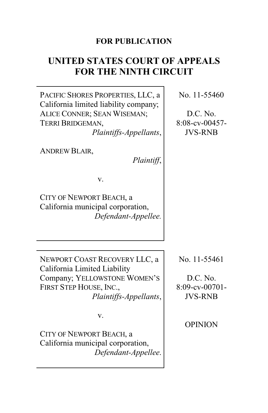# **FOR PUBLICATION**

# **UNITED STATES COURT OF APPEALS FOR THE NINTH CIRCUIT**

PACIFIC SHORES PROPERTIES, LLC, a California limited liability company; ALICE CONNER; SEAN WISEMAN; TERRI BRIDGEMAN,

*Plaintiffs-Appellants*,

ANDREW BLAIR,

*Plaintiff*,

v.

CITY OF NEWPORT BEACH, a California municipal corporation, *Defendant-Appellee.*

NEWPORT COAST RECOVERY LLC, a California Limited Liability Company; YELLOWSTONE WOMEN'S FIRST STEP HOUSE, INC., *Plaintiffs-Appellants*,

v.

CITY OF NEWPORT BEACH, a California municipal corporation, *Defendant-Appellee*. No. 11-55461

D.C. No. 8:09-cv-00701- JVS-RNB

OPINION

No. 11-55460

D.C. No. 8:08-cv-00457- JVS-RNB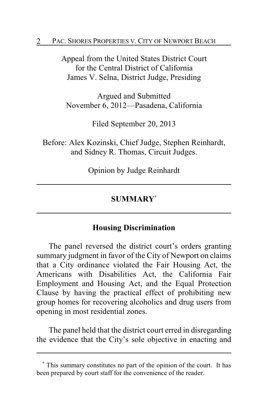Appeal from the United States District Court for the Central District of California James V. Selna, District Judge, Presiding

Argued and Submitted November 6, 2012—Pasadena, California

Filed September 20, 2013

Before: Alex Kozinski, Chief Judge, Stephen Reinhardt, and Sidney R. Thomas, Circuit Judges.

Opinion by Judge Reinhardt

# **SUMMARY\***

# **Housing Discrimination**

The panel reversed the district court's orders granting summary judgment in favor of the City of Newport on claims that a City ordinance violated the Fair Housing Act, the Americans with Disabilities Act, the California Fair Employment and Housing Act, and the Equal Protection Clause by having the practical effect of prohibiting new group homes for recovering alcoholics and drug users from opening in most residential zones.

The panel held that the district court erred in disregarding the evidence that the City's sole objective in enacting and

**<sup>\*</sup>** This summary constitutes no part of the opinion of the court. It has been prepared by court staff for the convenience of the reader.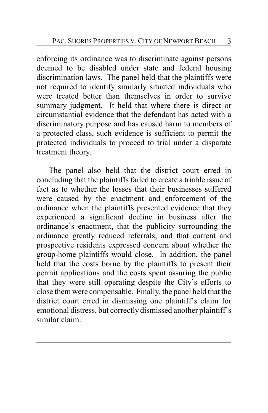enforcing its ordinance was to discriminate against persons deemed to be disabled under state and federal housing discrimination laws. The panel held that the plaintiffs were not required to identify similarly situated individuals who were treated better than themselves in order to survive summary judgment. It held that where there is direct or circumstantial evidence that the defendant has acted with a discriminatory purpose and has caused harm to members of a protected class, such evidence is sufficient to permit the protected individuals to proceed to trial under a disparate treatment theory.

The panel also held that the district court erred in concluding that the plaintiffs failed to create a triable issue of fact as to whether the losses that their businesses suffered were caused by the enactment and enforcement of the ordinance when the plaintiffs presented evidence that they experienced a significant decline in business after the ordinance's enactment, that the publicity surrounding the ordinance greatly reduced referrals, and that current and prospective residents expressed concern about whether the group-home plaintiffs would close. In addition, the panel held that the costs borne by the plaintiffs to present their permit applications and the costs spent assuring the public that they were still operating despite the City's efforts to close them were compensable. Finally, the panel held that the district court erred in dismissing one plaintiff's claim for emotional distress, but correctly dismissed another plaintiff's similar claim.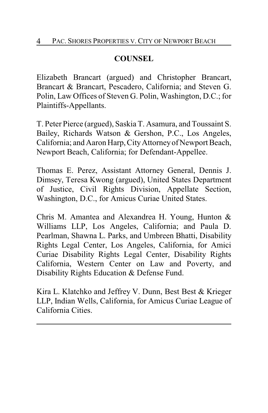# **COUNSEL**

Elizabeth Brancart (argued) and Christopher Brancart, Brancart & Brancart, Pescadero, California; and Steven G. Polin, Law Offices of Steven G. Polin, Washington, D.C.; for Plaintiffs-Appellants.

T. Peter Pierce (argued), Saskia T. Asamura, and Toussaint S. Bailey, Richards Watson & Gershon, P.C., Los Angeles, California; and Aaron Harp, CityAttorneyof Newport Beach, Newport Beach, California; for Defendant-Appellee.

Thomas E. Perez, Assistant Attorney General, Dennis J. Dimsey, Teresa Kwong (argued), United States Department of Justice, Civil Rights Division, Appellate Section, Washington, D.C., for Amicus Curiae United States.

Chris M. Amantea and Alexandrea H. Young, Hunton & Williams LLP, Los Angeles, California; and Paula D. Pearlman, Shawna L. Parks, and Umbreen Bhatti, Disability Rights Legal Center, Los Angeles, California, for Amici Curiae Disability Rights Legal Center, Disability Rights California, Western Center on Law and Poverty, and Disability Rights Education & Defense Fund.

Kira L. Klatchko and Jeffrey V. Dunn, Best Best & Krieger LLP, Indian Wells, California, for Amicus Curiae League of California Cities.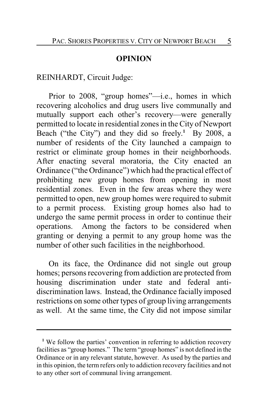#### **OPINION**

## REINHARDT, Circuit Judge:

Prior to 2008, "group homes"—i.e., homes in which recovering alcoholics and drug users live communally and mutually support each other's recovery—were generally permitted to locate in residential zones in the City of Newport Beach ("the City") and they did so freely. **<sup>1</sup>** By 2008, a number of residents of the City launched a campaign to restrict or eliminate group homes in their neighborhoods. After enacting several moratoria, the City enacted an Ordinance ("the Ordinance") which had the practical effect of prohibiting new group homes from opening in most residential zones. Even in the few areas where they were permitted to open, new group homes were required to submit to a permit process. Existing group homes also had to undergo the same permit process in order to continue their operations. Among the factors to be considered when granting or denying a permit to any group home was the number of other such facilities in the neighborhood.

On its face, the Ordinance did not single out group homes; persons recovering from addiction are protected from housing discrimination under state and federal antidiscrimination laws. Instead, the Ordinance facially imposed restrictions on some other types of group living arrangements as well. At the same time, the City did not impose similar

<sup>&</sup>lt;sup>1</sup> We follow the parties' convention in referring to addiction recovery facilities as "group homes." The term "group homes" is not defined in the Ordinance or in any relevant statute, however. As used by the parties and in this opinion, the term refers only to addiction recovery facilities and not to any other sort of communal living arrangement.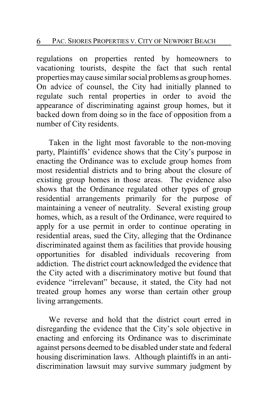regulations on properties rented by homeowners to vacationing tourists, despite the fact that such rental properties may cause similar social problems as group homes. On advice of counsel, the City had initially planned to regulate such rental properties in order to avoid the appearance of discriminating against group homes, but it backed down from doing so in the face of opposition from a number of City residents.

Taken in the light most favorable to the non-moving party, Plaintiffs' evidence shows that the City's purpose in enacting the Ordinance was to exclude group homes from most residential districts and to bring about the closure of existing group homes in those areas. The evidence also shows that the Ordinance regulated other types of group residential arrangements primarily for the purpose of maintaining a veneer of neutrality. Several existing group homes, which, as a result of the Ordinance, were required to apply for a use permit in order to continue operating in residential areas, sued the City, alleging that the Ordinance discriminated against them as facilities that provide housing opportunities for disabled individuals recovering from addiction. The district court acknowledged the evidence that the City acted with a discriminatory motive but found that evidence "irrelevant" because, it stated, the City had not treated group homes any worse than certain other group living arrangements.

We reverse and hold that the district court erred in disregarding the evidence that the City's sole objective in enacting and enforcing its Ordinance was to discriminate against persons deemed to be disabled under state and federal housing discrimination laws. Although plaintiffs in an antidiscrimination lawsuit may survive summary judgment by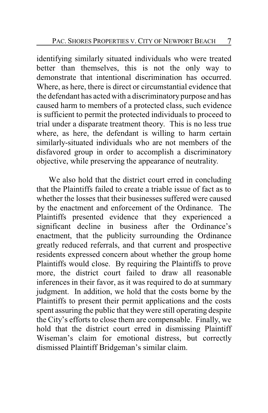identifying similarly situated individuals who were treated better than themselves, this is not the only way to demonstrate that intentional discrimination has occurred. Where, as here, there is direct or circumstantial evidence that the defendant has acted with a discriminatory purpose and has caused harm to members of a protected class, such evidence is sufficient to permit the protected individuals to proceed to trial under a disparate treatment theory. This is no less true where, as here, the defendant is willing to harm certain similarly-situated individuals who are not members of the disfavored group in order to accomplish a discriminatory objective, while preserving the appearance of neutrality.

We also hold that the district court erred in concluding that the Plaintiffs failed to create a triable issue of fact as to whether the losses that their businesses suffered were caused by the enactment and enforcement of the Ordinance. The Plaintiffs presented evidence that they experienced a significant decline in business after the Ordinance's enactment, that the publicity surrounding the Ordinance greatly reduced referrals, and that current and prospective residents expressed concern about whether the group home Plaintiffs would close. By requiring the Plaintiffs to prove more, the district court failed to draw all reasonable inferences in their favor, as it was required to do at summary judgment. In addition, we hold that the costs borne by the Plaintiffs to present their permit applications and the costs spent assuring the public that they were still operating despite the City's efforts to close them are compensable. Finally, we hold that the district court erred in dismissing Plaintiff Wiseman's claim for emotional distress, but correctly dismissed Plaintiff Bridgeman's similar claim.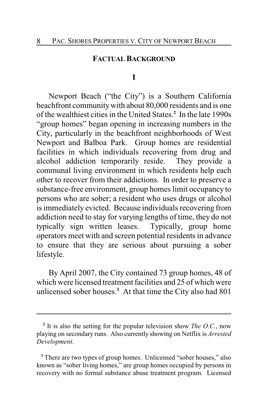#### **FACTUAL BACKGROUND**

#### **I**

Newport Beach ("the City") is a Southern California beachfront community with about 80,000 residents and is one of the wealthiest cities in the United States.**<sup>2</sup>** In the late 1990s "group homes" began opening in increasing numbers in the City, particularly in the beachfront neighborhoods of West Newport and Balboa Park. Group homes are residential facilities in which individuals recovering from drug and alcohol addiction temporarily reside. They provide a communal living environment in which residents help each other to recover from their addictions. In order to preserve a substance-free environment, group homes limit occupancy to persons who are sober; a resident who uses drugs or alcohol is immediately evicted. Because individuals recovering from addiction need to stay for varying lengths of time, they do not typically sign written leases. Typically, group home operators meet with and screen potential residents in advance to ensure that they are serious about pursuing a sober lifestyle.

By April 2007, the City contained 73 group homes, 48 of which were licensed treatment facilities and 25 of which were unlicensed sober houses.**<sup>3</sup>** At that time the City also had 801

**<sup>2</sup>** It is also the setting for the popular television show *The O.C.*, now playing on secondary runs. Also currently showing on Netflix is *Arrested Development*.

**<sup>3</sup>** There are two types of group homes. Unlicensed "sober houses," also known as "sober living homes," are group homes occupied by persons in recovery with no formal substance abuse treatment program. Licensed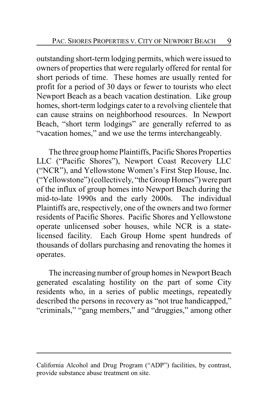outstanding short-term lodging permits, which were issued to owners of properties that were regularly offered for rental for short periods of time. These homes are usually rented for profit for a period of 30 days or fewer to tourists who elect Newport Beach as a beach vacation destination. Like group homes, short-term lodgings cater to a revolving clientele that can cause strains on neighborhood resources. In Newport Beach, "short term lodgings" are generally referred to as "vacation homes," and we use the terms interchangeably.

The three group home Plaintiffs, Pacific Shores Properties LLC ("Pacific Shores"), Newport Coast Recovery LLC ("NCR"), and Yellowstone Women's First Step House, Inc. ("Yellowstone") (collectively, "the Group Homes") were part of the influx of group homes into Newport Beach during the mid-to-late 1990s and the early 2000s. The individual Plaintiffs are, respectively, one of the owners and two former residents of Pacific Shores. Pacific Shores and Yellowstone operate unlicensed sober houses, while NCR is a statelicensed facility. Each Group Home spent hundreds of thousands of dollars purchasing and renovating the homes it operates.

The increasing number of group homes in Newport Beach generated escalating hostility on the part of some City residents who, in a series of public meetings, repeatedly described the persons in recovery as "not true handicapped," "criminals," "gang members," and "druggies," among other

California Alcohol and Drug Program ("ADP") facilities, by contrast, provide substance abuse treatment on site.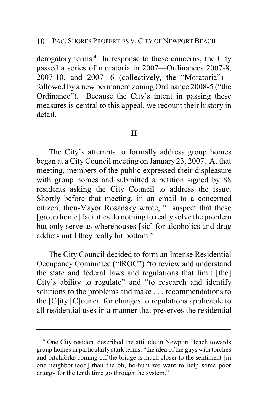derogatory terms.**<sup>4</sup>** In response to these concerns, the City passed a series of moratoria in 2007—Ordinances 2007-8, 2007-10, and 2007-16 (collectively, the "Moratoria") followed by a new permanent zoning Ordinance 2008-5 ("the Ordinance"). Because the City's intent in passing these measures is central to this appeal, we recount their history in detail.

# **II**

The City's attempts to formally address group homes began at a City Council meeting on January 23, 2007. At that meeting, members of the public expressed their displeasure with group homes and submitted a petition signed by 88 residents asking the City Council to address the issue. Shortly before that meeting, in an email to a concerned citizen, then-Mayor Rosansky wrote, "I suspect that these [group home] facilities do nothing to really solve the problem but only serve as wherehouses [sic] for alcoholics and drug addicts until they really hit bottom."

The City Council decided to form an Intense Residential Occupancy Committee ("IROC") "to review and understand the state and federal laws and regulations that limit [the] City's ability to regulate" and "to research and identify solutions to the problems and make . . . recommendations to the [C]ity [C]ouncil for changes to regulations applicable to all residential uses in a manner that preserves the residential

**<sup>4</sup>** One City resident described the attitude in Newport Beach towards group homes in particularly stark terms: "the idea of the guys with torches and pitchforks coming off the bridge is much closer to the sentiment [in one neighborhood] than the oh, ho-hum we want to help some poor druggy for the tenth time go through the system."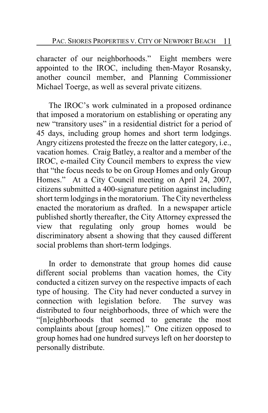character of our neighborhoods." Eight members were appointed to the IROC, including then-Mayor Rosansky, another council member, and Planning Commissioner Michael Toerge, as well as several private citizens.

The IROC's work culminated in a proposed ordinance that imposed a moratorium on establishing or operating any new "transitory uses" in a residential district for a period of 45 days, including group homes and short term lodgings. Angry citizens protested the freeze on the latter category, i.e., vacation homes. Craig Batley, a realtor and a member of the IROC, e-mailed City Council members to express the view that "the focus needs to be on Group Homes and only Group Homes." At a City Council meeting on April 24, 2007, citizens submitted a 400-signature petition against including short term lodgings in the moratorium. The City nevertheless enacted the moratorium as drafted. In a newspaper article published shortly thereafter, the City Attorney expressed the view that regulating only group homes would be discriminatory absent a showing that they caused different social problems than short-term lodgings.

In order to demonstrate that group homes did cause different social problems than vacation homes, the City conducted a citizen survey on the respective impacts of each type of housing. The City had never conducted a survey in connection with legislation before. The survey was distributed to four neighborhoods, three of which were the "[n]eighborhoods that seemed to generate the most complaints about [group homes]." One citizen opposed to group homes had one hundred surveys left on her doorstep to personally distribute.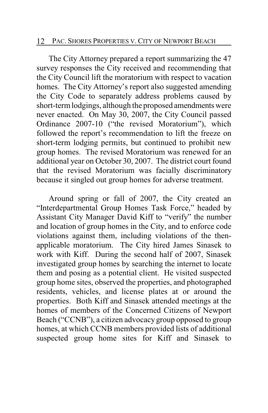## 12 PAC. SHORES PROPERTIES V. CITY OF NEWPORT BEACH

The City Attorney prepared a report summarizing the 47 survey responses the City received and recommending that the City Council lift the moratorium with respect to vacation homes. The City Attorney's report also suggested amending the City Code to separately address problems caused by short-term lodgings, although the proposed amendments were never enacted. On May 30, 2007, the City Council passed Ordinance 2007-10 ("the revised Moratorium"), which followed the report's recommendation to lift the freeze on short-term lodging permits, but continued to prohibit new group homes. The revised Moratorium was renewed for an additional year on October 30, 2007. The district court found that the revised Moratorium was facially discriminatory because it singled out group homes for adverse treatment.

Around spring or fall of 2007, the City created an "Interdepartmental Group Homes Task Force," headed by Assistant City Manager David Kiff to "verify" the number and location of group homes in the City, and to enforce code violations against them, including violations of the thenapplicable moratorium. The City hired James Sinasek to work with Kiff. During the second half of 2007, Sinasek investigated group homes by searching the internet to locate them and posing as a potential client. He visited suspected group home sites, observed the properties, and photographed residents, vehicles, and license plates at or around the properties. Both Kiff and Sinasek attended meetings at the homes of members of the Concerned Citizens of Newport Beach ("CCNB"), a citizen advocacygroup opposed to group homes, at which CCNB members provided lists of additional suspected group home sites for Kiff and Sinasek to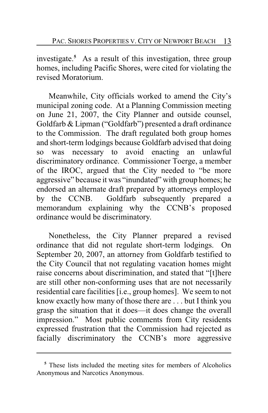investigate.**<sup>5</sup>** As a result of this investigation, three group homes, including Pacific Shores, were cited for violating the revised Moratorium.

Meanwhile, City officials worked to amend the City's municipal zoning code. At a Planning Commission meeting on June 21, 2007, the City Planner and outside counsel, Goldfarb & Lipman ("Goldfarb") presented a draft ordinance to the Commission. The draft regulated both group homes and short-term lodgings because Goldfarb advised that doing so was necessary to avoid enacting an unlawful discriminatory ordinance. Commissioner Toerge, a member of the IROC, argued that the City needed to "be more aggressive" because it was "inundated" with group homes; he endorsed an alternate draft prepared by attorneys employed by the CCNB. Goldfarb subsequently prepared a memorandum explaining why the CCNB's proposed ordinance would be discriminatory.

Nonetheless, the City Planner prepared a revised ordinance that did not regulate short-term lodgings. On September 20, 2007, an attorney from Goldfarb testified to the City Council that not regulating vacation homes might raise concerns about discrimination, and stated that "[t]here are still other non-conforming uses that are not necessarily residential care facilities [i.e., group homes]. We seem to not know exactly how many of those there are . . . but I think you grasp the situation that it does—it does change the overall impression." Most public comments from City residents expressed frustration that the Commission had rejected as facially discriminatory the CCNB's more aggressive

**<sup>5</sup>** These lists included the meeting sites for members of Alcoholics Anonymous and Narcotics Anonymous.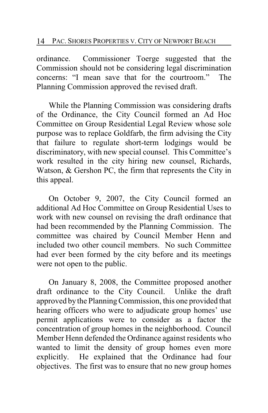ordinance. Commissioner Toerge suggested that the Commission should not be considering legal discrimination concerns: "I mean save that for the courtroom." The Planning Commission approved the revised draft.

While the Planning Commission was considering drafts of the Ordinance, the City Council formed an Ad Hoc Committee on Group Residential Legal Review whose sole purpose was to replace Goldfarb, the firm advising the City that failure to regulate short-term lodgings would be discriminatory, with new special counsel. This Committee's work resulted in the city hiring new counsel, Richards, Watson, & Gershon PC, the firm that represents the City in this appeal.

On October 9, 2007, the City Council formed an additional Ad Hoc Committee on Group Residential Uses to work with new counsel on revising the draft ordinance that had been recommended by the Planning Commission. The committee was chaired by Council Member Henn and included two other council members. No such Committee had ever been formed by the city before and its meetings were not open to the public.

On January 8, 2008, the Committee proposed another draft ordinance to the City Council. Unlike the draft approved by the PlanningCommission, this one provided that hearing officers who were to adjudicate group homes' use permit applications were to consider as a factor the concentration of group homes in the neighborhood. Council Member Henn defended the Ordinance against residents who wanted to limit the density of group homes even more explicitly. He explained that the Ordinance had four objectives. The first was to ensure that no new group homes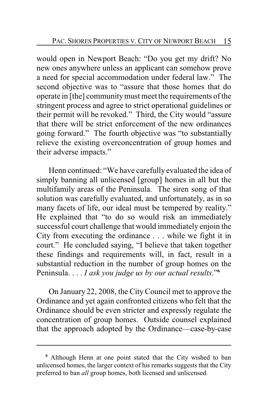would open in Newport Beach: "Do you get my drift? No new ones anywhere unless an applicant can somehow prove a need for special accommodation under federal law." The second objective was to "assure that those homes that do operate in [the] communitymust meet the requirements of the stringent process and agree to strict operational guidelines or their permit will be revoked." Third, the City would "assure that there will be strict enforcement of the new ordinances going forward." The fourth objective was "to substantially relieve the existing overconcentration of group homes and their adverse impacts."

Henn continued: "We have carefully evaluated the idea of simply banning all unlicensed [group] homes in all but the multifamily areas of the Peninsula. The siren song of that solution was carefully evaluated, and unfortunately, as in so many facets of life, our ideal must be tempered by reality." He explained that "to do so would risk an immediately successful court challenge that would immediately enjoin the City from executing the ordinance . . . while we fight it in court." He concluded saying, "I believe that taken together these findings and requirements will, in fact, result in a substantial reduction in the number of group homes on the Peninsula. . . . *I ask you judge us by our actual results*."**<sup>6</sup>**

On January 22, 2008, the City Council met to approve the Ordinance and yet again confronted citizens who felt that the Ordinance should be even stricter and expressly regulate the concentration of group homes. Outside counsel explained that the approach adopted by the Ordinance—case-by-case

**<sup>6</sup>** Although Henn at one point stated that the City wished to ban unlicensed homes, the larger context of his remarks suggests that the City preferred to ban *all* group homes, both licensed and unlicensed.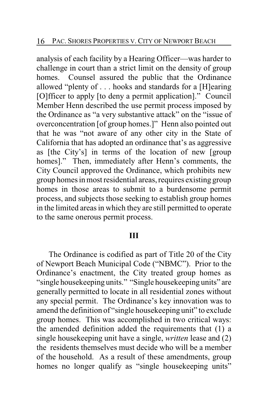analysis of each facility by a Hearing Officer—was harder to challenge in court than a strict limit on the density of group homes. Counsel assured the public that the Ordinance allowed "plenty of . . . hooks and standards for a [H]earing [O]fficer to apply [to deny a permit application]." Council Member Henn described the use permit process imposed by the Ordinance as "a very substantive attack" on the "issue of overconcentration [of group homes.]" Henn also pointed out that he was "not aware of any other city in the State of California that has adopted an ordinance that's as aggressive as [the City's] in terms of the location of new [group homes]." Then, immediately after Henn's comments, the City Council approved the Ordinance, which prohibits new group homes in most residential areas, requires existing group homes in those areas to submit to a burdensome permit process, and subjects those seeking to establish group homes in the limited areas in which they are still permitted to operate to the same onerous permit process.

## **III**

The Ordinance is codified as part of Title 20 of the City of Newport Beach Municipal Code ("NBMC"). Prior to the Ordinance's enactment, the City treated group homes as "single housekeeping units." "Single housekeeping units" are generally permitted to locate in all residential zones without any special permit. The Ordinance's key innovation was to amend the definition of "single housekeeping unit" to exclude group homes. This was accomplished in two critical ways: the amended definition added the requirements that (1) a single housekeeping unit have a single, *written* lease and (2) the residents themselves must decide who will be a member of the household. As a result of these amendments, group homes no longer qualify as "single housekeeping units"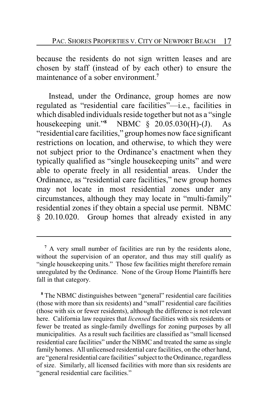because the residents do not sign written leases and are chosen by staff (instead of by each other) to ensure the maintenance of a sober environment.**<sup>7</sup>**

Instead, under the Ordinance, group homes are now regulated as "residential care facilities"—i.e., facilities in which disabled individuals reside together but not as a "single housekeeping unit."**<sup>8</sup>** NBMC § 20.05.030(H)-(J). As "residential care facilities," group homes now face significant restrictions on location, and otherwise, to which they were not subject prior to the Ordinance's enactment when they typically qualified as "single housekeeping units" and were able to operate freely in all residential areas. Under the Ordinance, as "residential care facilities," new group homes may not locate in most residential zones under any circumstances, although they may locate in "multi-family" residential zones if they obtain a special use permit. NBMC § 20.10.020. Group homes that already existed in any

**<sup>7</sup>** A very small number of facilities are run by the residents alone, without the supervision of an operator, and thus may still qualify as "single housekeeping units." Those few facilities might therefore remain unregulated by the Ordinance. None of the Group Home Plaintiffs here fall in that category.

**<sup>8</sup>** The NBMC distinguishes between "general" residential care facilities (those with more than six residents) and "small" residential care facilities (those with six or fewer residents), although the difference is not relevant here. California law requires that *licensed* facilities with six residents or fewer be treated as single-family dwellings for zoning purposes by all municipalities. As a result such facilities are classified as "small licensed residential care facilities" under the NBMC and treated the same as single family homes. All unlicensed residential care facilities, on the other hand, are "general residential care facilities" subject to theOrdinance, regardless of size. Similarly, all licensed facilities with more than six residents are "general residential care facilities."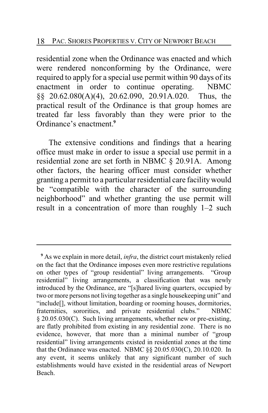residential zone when the Ordinance was enacted and which were rendered nonconforming by the Ordinance, were required to apply for a special use permit within 90 days of its enactment in order to continue operating. NBMC §§ 20.62.080(A)(4), 20.62.090, 20.91A.020. Thus, the practical result of the Ordinance is that group homes are treated far less favorably than they were prior to the Ordinance's enactment.**<sup>9</sup>**

The extensive conditions and findings that a hearing office must make in order to issue a special use permit in a residential zone are set forth in NBMC § 20.91A. Among other factors, the hearing officer must consider whether granting a permit to a particular residential care facilitywould be "compatible with the character of the surrounding neighborhood" and whether granting the use permit will result in a concentration of more than roughly 1–2 such

**<sup>9</sup>** As we explain in more detail, *infra*, the district court mistakenly relied on the fact that the Ordinance imposes even more restrictive regulations on other types of "group residential" living arrangements. "Group residential" living arrangements, a classification that was newly introduced by the Ordinance, are "[s]hared living quarters, occupied by two or more persons not living together as a single housekeeping unit" and "include[], without limitation, boarding or rooming houses, dormitories, fraternities, sororities, and private residential clubs." NBMC § 20.05.030(C). Such living arrangements, whether new or pre-existing, are flatly prohibited from existing in any residential zone. There is no evidence, however, that more than a minimal number of "group residential" living arrangements existed in residential zones at the time that the Ordinance was enacted. NBMC §§ 20.05.030(C), 20.10.020. In any event, it seems unlikely that any significant number of such establishments would have existed in the residential areas of Newport Beach.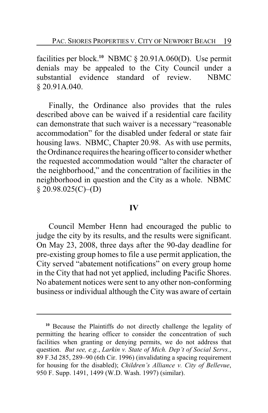facilities per block.**<sup>10</sup>** NBMC § 20.91A.060(D). Use permit denials may be appealed to the City Council under a substantial evidence standard of review. NBMC § 20.91A.040.

Finally, the Ordinance also provides that the rules described above can be waived if a residential care facility can demonstrate that such waiver is a necessary "reasonable accommodation" for the disabled under federal or state fair housing laws. NBMC, Chapter 20.98. As with use permits, the Ordinance requires the hearing officer to consider whether the requested accommodation would "alter the character of the neighborhood," and the concentration of facilities in the neighborhood in question and the City as a whole. NBMC  $§$  20.98.025(C)–(D)

## **IV**

Council Member Henn had encouraged the public to judge the city by its results, and the results were significant. On May 23, 2008, three days after the 90-day deadline for pre-existing group homes to file a use permit application, the City served "abatement notifications" on every group home in the City that had not yet applied, including Pacific Shores. No abatement notices were sent to any other non-conforming business or individual although the City was aware of certain

**<sup>10</sup>** Because the Plaintiffs do not directly challenge the legality of permitting the hearing officer to consider the concentration of such facilities when granting or denying permits, we do not address that question. *But see, e.g.*, *Larkin v. State of Mich. Dep't of Social Servs.*, 89 F.3d 285, 289–90 (6th Cir. 1996) (invalidating a spacing requirement for housing for the disabled); *Children's Alliance v. City of Bellevue*, 950 F. Supp. 1491, 1499 (W.D. Wash. 1997) (similar).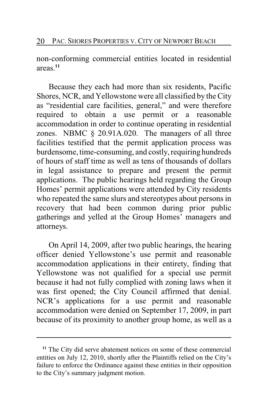non-conforming commercial entities located in residential areas.**<sup>11</sup>**

Because they each had more than six residents, Pacific Shores, NCR, and Yellowstone were all classified by the City as "residential care facilities, general," and were therefore required to obtain a use permit or a reasonable accommodation in order to continue operating in residential zones. NBMC § 20.91A.020. The managers of all three facilities testified that the permit application process was burdensome, time-consuming, and costly, requiring hundreds of hours of staff time as well as tens of thousands of dollars in legal assistance to prepare and present the permit applications. The public hearings held regarding the Group Homes' permit applications were attended by City residents who repeated the same slurs and stereotypes about persons in recovery that had been common during prior public gatherings and yelled at the Group Homes' managers and attorneys.

On April 14, 2009, after two public hearings, the hearing officer denied Yellowstone's use permit and reasonable accommodation applications in their entirety, finding that Yellowstone was not qualified for a special use permit because it had not fully complied with zoning laws when it was first opened; the City Council affirmed that denial. NCR's applications for a use permit and reasonable accommodation were denied on September 17, 2009, in part because of its proximity to another group home, as well as a

**<sup>11</sup>** The City did serve abatement notices on some of these commercial entities on July 12, 2010, shortly after the Plaintiffs relied on the City's failure to enforce the Ordinance against these entities in their opposition to the City's summary judgment motion.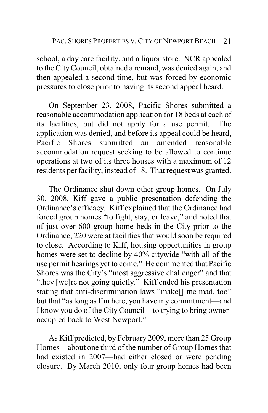school, a day care facility, and a liquor store. NCR appealed to the CityCouncil, obtained a remand, was denied again, and then appealed a second time, but was forced by economic pressures to close prior to having its second appeal heard.

On September 23, 2008, Pacific Shores submitted a reasonable accommodation application for 18 beds at each of its facilities, but did not apply for a use permit. The application was denied, and before its appeal could be heard,<br>Pacific Shores submitted an amended reasonable Pacific Shores submitted an amended reasonable accommodation request seeking to be allowed to continue operations at two of its three houses with a maximum of 12 residents per facility, instead of 18. That request was granted.

The Ordinance shut down other group homes. On July 30, 2008, Kiff gave a public presentation defending the Ordinance's efficacy. Kiff explained that the Ordinance had forced group homes "to fight, stay, or leave," and noted that of just over 600 group home beds in the City prior to the Ordinance, 220 were at facilities that would soon be required to close. According to Kiff, housing opportunities in group homes were set to decline by 40% citywide "with all of the use permit hearings yet to come." He commented that Pacific Shores was the City's "most aggressive challenger" and that "they [we]re not going quietly." Kiff ended his presentation stating that anti-discrimination laws "make[] me mad, too" but that "as long as I'm here, you have my commitment—and I know you do of the City Council—to trying to bring owneroccupied back to West Newport."

As Kiff predicted, by February 2009, more than 25 Group Homes—about one third of the number of Group Homes that had existed in 2007—had either closed or were pending closure. By March 2010, only four group homes had been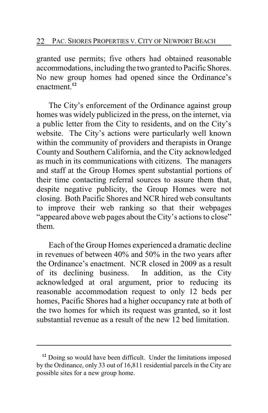granted use permits; five others had obtained reasonable accommodations, including the two granted to Pacific Shores. No new group homes had opened since the Ordinance's enactment.**<sup>12</sup>**

The City's enforcement of the Ordinance against group homes was widely publicized in the press, on the internet, via a public letter from the City to residents, and on the City's website. The City's actions were particularly well known within the community of providers and therapists in Orange County and Southern California, and the City acknowledged as much in its communications with citizens. The managers and staff at the Group Homes spent substantial portions of their time contacting referral sources to assure them that, despite negative publicity, the Group Homes were not closing. Both Pacific Shores and NCR hired web consultants to improve their web ranking so that their webpages "appeared above web pages about the City's actions to close" them.

Each of the Group Homes experienced a dramatic decline in revenues of between 40% and 50% in the two years after the Ordinance's enactment. NCR closed in 2009 as a result of its declining business. In addition, as the City acknowledged at oral argument, prior to reducing its reasonable accommodation request to only 12 beds per homes, Pacific Shores had a higher occupancy rate at both of the two homes for which its request was granted, so it lost substantial revenue as a result of the new 12 bed limitation.

<sup>&</sup>lt;sup>12</sup> Doing so would have been difficult. Under the limitations imposed by the Ordinance, only 33 out of 16,811 residential parcels in the City are possible sites for a new group home.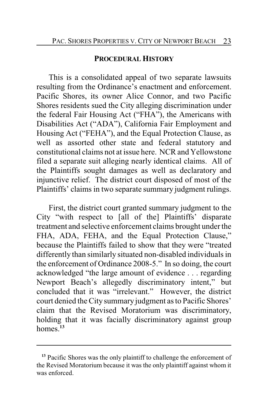## **PROCEDURAL HISTORY**

This is a consolidated appeal of two separate lawsuits resulting from the Ordinance's enactment and enforcement. Pacific Shores, its owner Alice Connor, and two Pacific Shores residents sued the City alleging discrimination under the federal Fair Housing Act ("FHA"), the Americans with Disabilities Act ("ADA"), California Fair Employment and Housing Act ("FEHA"), and the Equal Protection Clause, as well as assorted other state and federal statutory and constitutional claims not at issue here. NCR and Yellowstone filed a separate suit alleging nearly identical claims. All of the Plaintiffs sought damages as well as declaratory and injunctive relief. The district court disposed of most of the Plaintiffs' claims in two separate summary judgment rulings.

First, the district court granted summary judgment to the City "with respect to [all of the] Plaintiffs' disparate treatment and selective enforcement claims brought under the FHA, ADA, FEHA, and the Equal Protection Clause," because the Plaintiffs failed to show that they were "treated differently than similarly situated non-disabled individuals in the enforcement of Ordinance 2008-5." In so doing, the court acknowledged "the large amount of evidence . . . regarding Newport Beach's allegedly discriminatory intent," but concluded that it was "irrelevant." However, the district court denied the City summary judgment as to Pacific Shores' claim that the Revised Moratorium was discriminatory, holding that it was facially discriminatory against group homes.**<sup>13</sup>**

<sup>&</sup>lt;sup>13</sup> Pacific Shores was the only plaintiff to challenge the enforcement of the Revised Moratorium because it was the only plaintiff against whom it was enforced.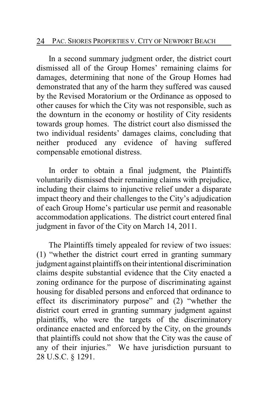#### 24 PAC. SHORES PROPERTIES V. CITY OF NEWPORT BEACH

In a second summary judgment order, the district court dismissed all of the Group Homes' remaining claims for damages, determining that none of the Group Homes had demonstrated that any of the harm they suffered was caused by the Revised Moratorium or the Ordinance as opposed to other causes for which the City was not responsible, such as the downturn in the economy or hostility of City residents towards group homes. The district court also dismissed the two individual residents' damages claims, concluding that neither produced any evidence of having suffered compensable emotional distress.

In order to obtain a final judgment, the Plaintiffs voluntarily dismissed their remaining claims with prejudice, including their claims to injunctive relief under a disparate impact theory and their challenges to the City's adjudication of each Group Home's particular use permit and reasonable accommodation applications. The district court entered final judgment in favor of the City on March 14, 2011.

The Plaintiffs timely appealed for review of two issues: (1) "whether the district court erred in granting summary judgment against plaintiffs on their intentional discrimination claims despite substantial evidence that the City enacted a zoning ordinance for the purpose of discriminating against housing for disabled persons and enforced that ordinance to effect its discriminatory purpose" and (2) "whether the district court erred in granting summary judgment against plaintiffs, who were the targets of the discriminatory ordinance enacted and enforced by the City, on the grounds that plaintiffs could not show that the City was the cause of any of their injuries." We have jurisdiction pursuant to 28 U.S.C. § 1291.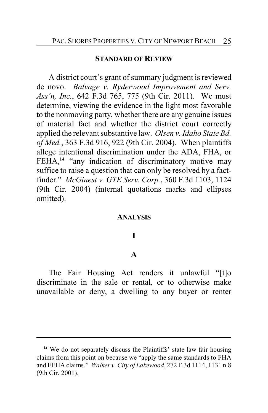#### **STANDARD OF REVIEW**

A district court's grant of summary judgment is reviewed de novo. *Balvage v. Ryderwood Improvement and Serv. Ass'n, Inc.*, 642 F.3d 765, 775 (9th Cir. 2011). We must determine, viewing the evidence in the light most favorable to the nonmoving party, whether there are any genuine issues of material fact and whether the district court correctly applied the relevant substantive law. *Olsen v. Idaho State Bd. of Med.*, 363 F.3d 916, 922 (9th Cir. 2004). When plaintiffs allege intentional discrimination under the ADA, FHA, or FEHA,<sup>14</sup> "any indication of discriminatory motive may suffice to raise a question that can only be resolved by a factfinder." *McGinest v. GTE Serv. Corp.*, 360 F.3d 1103, 1124 (9th Cir. 2004) (internal quotations marks and ellipses omitted).

#### **ANALYSIS**

## **I**

#### **A**

The Fair Housing Act renders it unlawful "[t]o discriminate in the sale or rental, or to otherwise make unavailable or deny, a dwelling to any buyer or renter

<sup>&</sup>lt;sup>14</sup> We do not separately discuss the Plaintiffs' state law fair housing claims from this point on because we "apply the same standards to FHA and FEHA claims." *Walker v. City of Lakewood*, 272 F.3d 1114, 1131 n.8 (9th Cir. 2001).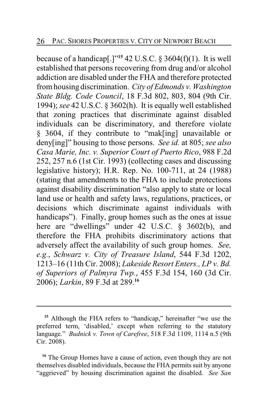because of a handicap[.]" **15** 42 U.S.C. § 3604(f)(1). It is well established that persons recovering from drug and/or alcohol addiction are disabled under the FHA and therefore protected from housing discrimination. *City of Edmonds v. Washington State Bldg. Code Council*, 18 F.3d 802, 803, 804 (9th Cir. 1994); *see* 42 U.S.C. § 3602(h). It is equally well established that zoning practices that discriminate against disabled individuals can be discriminatory, and therefore violate § 3604, if they contribute to "mak[ing] unavailable or deny[ing]" housing to those persons. *See id.* at 805; *see also Casa Marie, Inc. v. Superior Court of Puerto Rico*, 988 F.2d 252, 257 n.6 (1st Cir. 1993) (collecting cases and discussing legislative history); H.R. Rep. No. 100-711, at 24 (1988) (stating that amendments to the FHA to include protections against disability discrimination "also apply to state or local land use or health and safety laws, regulations, practices, or decisions which discriminate against individuals with handicaps"). Finally, group homes such as the ones at issue here are "dwellings" under 42 U.S.C. § 3602(b), and therefore the FHA prohibits discriminatory actions that adversely affect the availability of such group homes. *See, e.g.*, *Schwarz v. City of Treasure Island*, 544 F.3d 1202, 1213–16 (11th Cir. 2008); *Lakeside Resort Enters., LP v. Bd. of Superiors of Palmyra Twp.*, 455 F.3d 154, 160 (3d Cir. 2006); *Larkin*, 89 F.3d at 289.**<sup>16</sup>**

**<sup>15</sup>** Although the FHA refers to "handicap," hereinafter "we use the preferred term, 'disabled,' except when referring to the statutory language." *Budnick v. Town of Carefree*, 518 F.3d 1109, 1114 n.5 (9th Cir. 2008).

<sup>&</sup>lt;sup>16</sup> The Group Homes have a cause of action, even though they are not themselves disabled individuals, because the FHA permits suit by anyone "aggrieved" by housing discrimination against the disabled. *See San*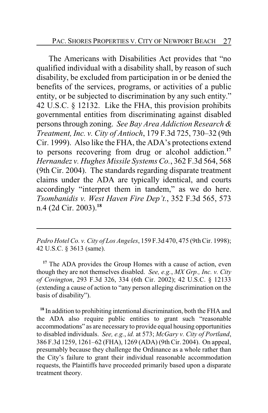The Americans with Disabilities Act provides that "no qualified individual with a disability shall, by reason of such disability, be excluded from participation in or be denied the benefits of the services, programs, or activities of a public entity, or be subjected to discrimination by any such entity." 42 U.S.C. § 12132. Like the FHA, this provision prohibits governmental entities from discriminating against disabled persons through zoning. *See Bay Area Addiction Research & Treatment, Inc. v. City of Antioch*, 179 F.3d 725, 730–32 (9th Cir. 1999). Also like the FHA, the ADA's protections extend to persons recovering from drug or alcohol addiction.**<sup>17</sup>** *Hernandez v. Hughes Missile Systems Co.*, 362 F.3d 564, 568 (9th Cir. 2004). The standards regarding disparate treatment claims under the ADA are typically identical, and courts accordingly "interpret them in tandem," as we do here. *Tsombanidis v. West Haven Fire Dep't.*, 352 F.3d 565, 573 n.4 (2d Cir. 2003).**<sup>18</sup>**

*Pedro Hotel Co. v. City of Los Angeles*, 159 F.3d 470, 475 (9thCir. 1998); 42 U.S.C. § 3613 (same).

**<sup>17</sup>** The ADA provides the Group Homes with a cause of action, even though they are not themselves disabled. *See, e.g.*, *MX Grp., Inc. v. City of Covington*, 293 F.3d 326, 334 (6th Cir. 2002); 42 U.S.C. § 12133 (extending a cause of action to "any person alleging discrimination on the basis of disability").

**<sup>18</sup>** In addition to prohibiting intentional discrimination, both the FHA and the ADA also require public entities to grant such "reasonable accommodations" as are necessary to provide equal housing opportunities to disabled individuals. *See, e.g.*, *id.* at 573; *McGary v. City of Portland*, 386 F.3d 1259, 1261–62 (FHA), 1269 (ADA) (9th Cir. 2004). On appeal, presumably because they challenge the Ordinance as a whole rather than the City's failure to grant their individual reasonable accommodation requests, the Plaintiffs have proceeded primarily based upon a disparate treatment theory.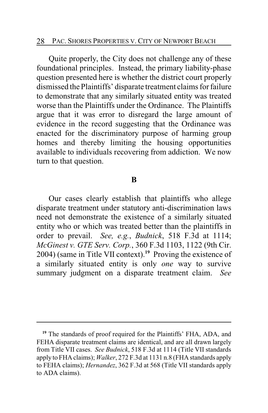Quite properly, the City does not challenge any of these foundational principles. Instead, the primary liability-phase question presented here is whether the district court properly dismissed the Plaintiffs' disparate treatment claims for failure to demonstrate that any similarly situated entity was treated worse than the Plaintiffs under the Ordinance. The Plaintiffs argue that it was error to disregard the large amount of evidence in the record suggesting that the Ordinance was enacted for the discriminatory purpose of harming group homes and thereby limiting the housing opportunities available to individuals recovering from addiction. We now turn to that question.

#### **B**

Our cases clearly establish that plaintiffs who allege disparate treatment under statutory anti-discrimination laws need not demonstrate the existence of a similarly situated entity who or which was treated better than the plaintiffs in order to prevail. *See, e.g.*, *Budnick*, 518 F.3d at 1114; *McGinest v. GTE Serv. Corp.*, 360 F.3d 1103, 1122 (9th Cir. 2004) (same in Title VII context).**<sup>19</sup>** Proving the existence of a similarly situated entity is only *one* way to survive summary judgment on a disparate treatment claim. *See*

<sup>&</sup>lt;sup>19</sup> The standards of proof required for the Plaintiffs' FHA, ADA, and FEHA disparate treatment claims are identical, and are all drawn largely from Title VII cases. *See Budnick*, 518 F.3d at 1114 (Title VII standards apply to FHA claims); *Walker*, 272 F.3d at 1131 n.8 (FHA standards apply to FEHA claims); *Hernandez*, 362 F.3d at 568 (Title VII standards apply to ADA claims).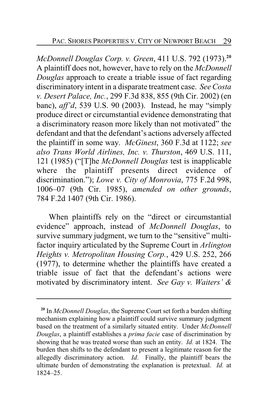*McDonnell Douglas Corp. v. Green*, 411 U.S. 792 (1973).**<sup>20</sup>** A plaintiff does not, however, have to rely on the *McDonnell Douglas* approach to create a triable issue of fact regarding discriminatory intent in a disparate treatment case. *See Costa v. Desert Palace, Inc.*, 299 F.3d 838, 855 (9th Cir. 2002) (en banc), *aff'd*, 539 U.S. 90 (2003). Instead, he may "simply produce direct or circumstantial evidence demonstrating that a discriminatory reason more likely than not motivated" the defendant and that the defendant's actions adversely affected the plaintiff in some way. *McGinest*, 360 F.3d at 1122; *see also Trans World Airlines, Inc. v. Thurston*, 469 U.S. 111, 121 (1985) ("[T]he *McDonnell Douglas* test is inapplicable where the plaintiff presents direct evidence of discrimination."); *Lowe v. City of Monrovia*, 775 F.2d 998, 1006–07 (9th Cir. 1985), *amended on other grounds*, 784 F.2d 1407 (9th Cir. 1986).

When plaintiffs rely on the "direct or circumstantial evidence" approach, instead of *McDonnell Douglas*, to survive summary judgment, we turn to the "sensitive" multifactor inquiry articulated by the Supreme Court in *Arlington Heights v. Metropolitan Housing Corp.*, 429 U.S. 252, 266 (1977), to determine whether the plaintiffs have created a triable issue of fact that the defendant's actions were motivated by discriminatory intent. *See Gay v. Waiters' &*

**<sup>20</sup>** In *McDonnell Douglas*, the Supreme Court set forth a burden shifting mechanism explaining how a plaintiff could survive summary judgment based on the treatment of a similarly situated entity. Under *McDonnell Douglas*, a plaintiff establishes a *prima facie* case of discrimination by showing that he was treated worse than such an entity. *Id.* at 1824. The burden then shifts to the defendant to present a legitimate reason for the allegedly discriminatory action. *Id*. Finally, the plaintiff bears the ultimate burden of demonstrating the explanation is pretextual. *Id.* at 1824–25.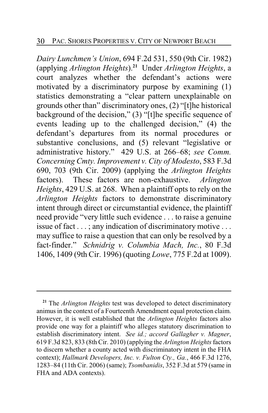*Dairy Lunchmen's Union*, 694 F.2d 531, 550 (9th Cir. 1982) (applying *Arlington Heights*). **<sup>21</sup>** Under *Arlington Heights*, a court analyzes whether the defendant's actions were motivated by a discriminatory purpose by examining (1) statistics demonstrating a "clear pattern unexplainable on grounds other than" discriminatory ones, (2) "[t]he historical background of the decision," (3) "[t]he specific sequence of events leading up to the challenged decision," (4) the defendant's departures from its normal procedures or substantive conclusions, and (5) relevant "legislative or administrative history." 429 U.S. at 266–68; *see Comm. Concerning Cmty. Improvement v. City of Modesto*, 583 F.3d 690, 703 (9th Cir. 2009) (applying the *Arlington Heights* factors). These factors are non-exhaustive. *Arlington Heights*, 429 U.S. at 268. When a plaintiff opts to rely on the *Arlington Heights* factors to demonstrate discriminatory intent through direct or circumstantial evidence, the plaintiff need provide "very little such evidence . . . to raise a genuine issue of fact . . . ; any indication of discriminatory motive . . . may suffice to raise a question that can only be resolved by a fact-finder." *Schnidrig v. Columbia Mach, Inc.*, 80 F.3d 1406, 1409 (9th Cir. 1996) (quoting *Lowe*, 775 F.2d at 1009).

**<sup>21</sup>** The *Arlington Heights* test was developed to detect discriminatory animus in the context of a Fourteenth Amendment equal protection claim. However, it is well established that the *Arlington Heights* factors also provide one way for a plaintiff who alleges statutory discrimination to establish discriminatory intent. *See id.; accord Gallagher v. Magner*, 619 F.3d 823, 833 (8th Cir. 2010) (applying the *Arlington Heights*factors to discern whether a county acted with discriminatory intent in the FHA context); *Hallmark Developers, Inc. v. Fulton Cty., Ga.*, 466 F.3d 1276, 1283–84 (11th Cir. 2006) (same); *Tsombanidis*, 352 F.3d at 579 (same in FHA and ADA contexts).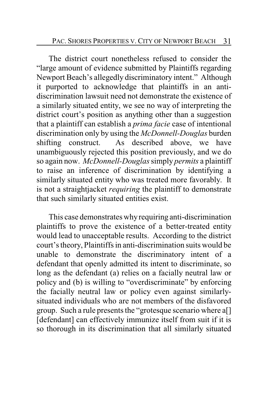The district court nonetheless refused to consider the "large amount of evidence submitted by Plaintiffs regarding Newport Beach's allegedly discriminatory intent." Although it purported to acknowledge that plaintiffs in an antidiscrimination lawsuit need not demonstrate the existence of a similarly situated entity, we see no way of interpreting the district court's position as anything other than a suggestion that a plaintiff can establish a *prima facie* case of intentional discrimination only by using the *McDonnell-Douglas* burden shifting construct. As described above, we have unambiguously rejected this position previously, and we do so again now. *McDonnell-Douglas*simply *permits* a plaintiff to raise an inference of discrimination by identifying a similarly situated entity who was treated more favorably. It is not a straightjacket *requiring* the plaintiff to demonstrate that such similarly situated entities exist.

This case demonstrates whyrequiring anti-discrimination plaintiffs to prove the existence of a better-treated entity would lead to unacceptable results. According to the district court's theory, Plaintiffs in anti-discrimination suits would be unable to demonstrate the discriminatory intent of a defendant that openly admitted its intent to discriminate, so long as the defendant (a) relies on a facially neutral law or policy and (b) is willing to "overdiscriminate" by enforcing the facially neutral law or policy even against similarlysituated individuals who are not members of the disfavored group. Such a rule presents the "grotesque scenario where a[] [defendant] can effectively immunize itself from suit if it is so thorough in its discrimination that all similarly situated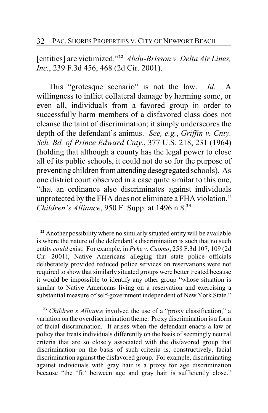[entities] are victimized."**<sup>22</sup>** *Abdu-Brisson v. Delta Air Lines, Inc.*, 239 F.3d 456, 468 (2d Cir. 2001).

This "grotesque scenario" is not the law. *Id.* A willingness to inflict collateral damage by harming some, or even all, individuals from a favored group in order to successfully harm members of a disfavored class does not cleanse the taint of discrimination; it simply underscores the depth of the defendant's animus. *See, e.g.*, *Griffin v. Cnty. Sch. Bd. of Prince Edward Cnty.*, 377 U.S. 218, 231 (1964) (holding that although a county has the legal power to close all of its public schools, it could not do so for the purpose of preventing children from attending desegregated schools). As one district court observed in a case quite similar to this one, "that an ordinance also discriminates against individuals unprotected by the FHA does not eliminate a FHA violation." *Children's Alliance*, 950 F. Supp. at 1496 n.8.**<sup>23</sup>**

**<sup>23</sup>** *Children's Alliance* involved the use of a "proxy classification," a variation on the overdiscrimination theme. Proxy discrimination is a form of facial discrimination. It arises when the defendant enacts a law or policy that treats individuals differently on the basis of seemingly neutral criteria that are so closely associated with the disfavored group that discrimination on the basis of such criteria is, constructively, facial discrimination against the disfavored group. For example, discriminating against individuals with gray hair is a proxy for age discrimination because "the 'fit' between age and gray hair is sufficiently close."

**<sup>22</sup>** Another possibility where no similarly situated entity will be available is where the nature of the defendant's discrimination is such that no such entity *could* exist. For example, in *Pyke v. Cuomo*, 258 F.3d 107, 109 (2d Cir. 2001), Native Americans alleging that state police officials deliberately provided reduced police services on reservations were not required to show that similarly situated groups were better treated because it would be impossible to identify any other group "whose situation is similar to Native Americans living on a reservation and exercising a substantial measure of self-government independent of New York State."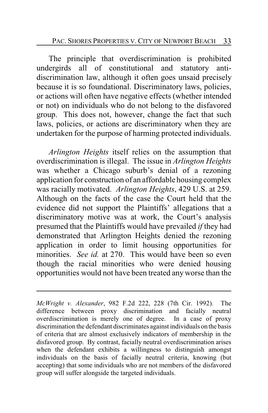The principle that overdiscrimination is prohibited undergirds all of constitutional and statutory antidiscrimination law, although it often goes unsaid precisely because it is so foundational. Discriminatory laws, policies, or actions will often have negative effects (whether intended or not) on individuals who do not belong to the disfavored group. This does not, however, change the fact that such laws, policies, or actions are discriminatory when they are undertaken for the purpose of harming protected individuals.

*Arlington Heights* itself relies on the assumption that overdiscrimination is illegal. The issue in *Arlington Heights* was whether a Chicago suburb's denial of a rezoning application for construction of an affordable housing complex was racially motivated. *Arlington Heights*, 429 U.S. at 259. Although on the facts of the case the Court held that the evidence did not support the Plaintiffs' allegations that a discriminatory motive was at work, the Court's analysis presumed that the Plaintiffs would have prevailed *if* they had demonstrated that Arlington Heights denied the rezoning application in order to limit housing opportunities for minorities. *See id.* at 270. This would have been so even though the racial minorities who were denied housing opportunities would not have been treated any worse than the

*McWright v. Alexander*, 982 F.2d 222, 228 (7th Cir. 1992). The difference between proxy discrimination and facially neutral overdiscrimination is merely one of degree. In a case of proxy discrimination the defendant discriminates against individuals on the basis of criteria that are almost exclusively indicators of membership in the disfavored group. By contrast, facially neutral overdiscrimination arises when the defendant exhibits a willingness to distinguish amongst individuals on the basis of facially neutral criteria, knowing (but accepting) that some individuals who are not members of the disfavored group will suffer alongside the targeted individuals.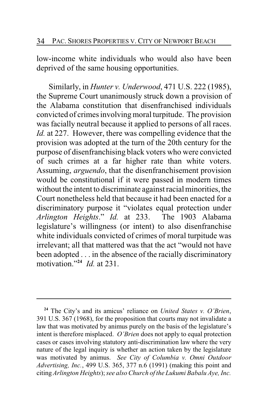low-income white individuals who would also have been deprived of the same housing opportunities.

Similarly, in *Hunter v. Underwood*, 471 U.S. 222 (1985), the Supreme Court unanimously struck down a provision of the Alabama constitution that disenfranchised individuals convicted of crimes involving moral turpitude. The provision was facially neutral because it applied to persons of all races. *Id.* at 227. However, there was compelling evidence that the provision was adopted at the turn of the 20th century for the purpose of disenfranchising black voters who were convicted of such crimes at a far higher rate than white voters. Assuming, *arguendo*, that the disenfranchisement provision would be constitutional if it were passed in modern times without the intent to discriminate against racial minorities, the Court nonetheless held that because it had been enacted for a discriminatory purpose it "violates equal protection under *Arlington Heights*." *Id.* at 233. The 1903 Alabama legislature's willingness (or intent) to also disenfranchise white individuals convicted of crimes of moral turpitude was irrelevant; all that mattered was that the act "would not have been adopted . . . in the absence of the racially discriminatory motivation."**<sup>24</sup>** *Id.* at 231.

**<sup>24</sup>** The City's and its amicus' reliance on *United States v. O'Brien*, 391 U.S. 367 (1968), for the proposition that courts may not invalidate a law that was motivated by animus purely on the basis of the legislature's intent is therefore misplaced. *O'Brien* does not apply to equal protection cases or cases involving statutory anti-discrimination law where the very nature of the legal inquiry is whether an action taken by the legislature was motivated by animus. *See City of Columbia v. Omni Outdoor Advertising, Inc.*, 499 U.S. 365, 377 n.6 (1991) (making this point and citing *Arlington Heights*); *see alsoChurch of the Lukumi Babalu Aye, Inc.*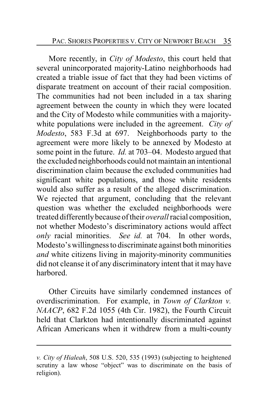More recently, in *City of Modesto*, this court held that several unincorporated majority-Latino neighborhoods had created a triable issue of fact that they had been victims of disparate treatment on account of their racial composition. The communities had not been included in a tax sharing agreement between the county in which they were located and the City of Modesto while communities with a majoritywhite populations were included in the agreement. *City of Modesto*, 583 F.3d at 697. Neighborhoods party to the agreement were more likely to be annexed by Modesto at some point in the future. *Id.* at 703–04. Modesto argued that the excluded neighborhoods could not maintain an intentional discrimination claim because the excluded communities had significant white populations, and those white residents would also suffer as a result of the alleged discrimination. We rejected that argument, concluding that the relevant question was whether the excluded neighborhoods were treated differentlybecause of their *overall*racial composition, not whether Modesto's discriminatory actions would affect *only* racial minorities. *See id.* at 704. In other words, Modesto's willingness to discriminate against both minorities *and* white citizens living in majority-minority communities did not cleanse it of any discriminatory intent that it may have harbored.

Other Circuits have similarly condemned instances of overdiscrimination. For example, in *Town of Clarkton v. NAACP*, 682 F.2d 1055 (4th Cir. 1982), the Fourth Circuit held that Clarkton had intentionally discriminated against African Americans when it withdrew from a multi-county

*v. City of Hialeah*, 508 U.S. 520, 535 (1993) (subjecting to heightened scrutiny a law whose "object" was to discriminate on the basis of religion).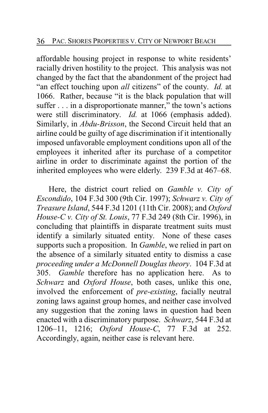affordable housing project in response to white residents' racially driven hostility to the project. This analysis was not changed by the fact that the abandonment of the project had "an effect touching upon *all* citizens" of the county. *Id.* at 1066. Rather, because "it is the black population that will suffer . . . in a disproportionate manner," the town's actions were still discriminatory. *Id.* at 1066 (emphasis added). Similarly, in *Abdu-Brisson*, the Second Circuit held that an airline could be guilty of age discrimination if it intentionally imposed unfavorable employment conditions upon all of the employees it inherited after its purchase of a competitor airline in order to discriminate against the portion of the inherited employees who were elderly. 239 F.3d at 467–68.

Here, the district court relied on *Gamble v. City of Escondido*, 104 F.3d 300 (9th Cir. 1997); *Schwarz v. City of Treasure Island*, 544 F.3d 1201 (11th Cir. 2008); and *Oxford House-C v. City of St. Louis*, 77 F.3d 249 (8th Cir. 1996), in concluding that plaintiffs in disparate treatment suits must identify a similarly situated entity. None of these cases supports such a proposition. In *Gamble*, we relied in part on the absence of a similarly situated entity to dismiss a case *proceeding under a McDonnell Douglas theory*. 104 F.3d at 305. *Gamble* therefore has no application here. As to *Schwarz* and *Oxford House*, both cases, unlike this one, involved the enforcement of *pre-existing*, facially neutral zoning laws against group homes, and neither case involved any suggestion that the zoning laws in question had been enacted with a discriminatory purpose. *Schwarz*, 544 F.3d at 1206–11, 1216; *Oxford House-C*, 77 F.3d at 252. Accordingly, again, neither case is relevant here.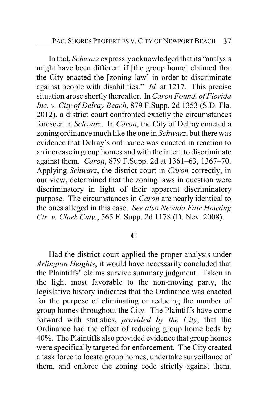In fact, *Schwarz* expresslyacknowledged that its "analysis might have been different if [the group home] claimed that the City enacted the [zoning law] in order to discriminate against people with disabilities." *Id.* at 1217. This precise situation arose shortly thereafter. In *Caron Found. of Florida Inc. v. City of Delray Beach*, 879 F.Supp. 2d 1353 (S.D. Fla. 2012), a district court confronted exactly the circumstances foreseen in *Schwarz*. In *Caron*, the City of Delray enacted a zoning ordinance much like the one in *Schwarz*, but there was evidence that Delray's ordinance was enacted in reaction to an increase in group homes and with the intent to discriminate against them. *Caron*, 879 F.Supp. 2d at 1361–63, 1367–70. Applying *Schwarz*, the district court in *Caron* correctly, in our view, determined that the zoning laws in question were discriminatory in light of their apparent discriminatory purpose. The circumstances in *Caron* are nearly identical to the ones alleged in this case. *See also Nevada Fair Housing Ctr. v. Clark Cnty.*, 565 F. Supp. 2d 1178 (D. Nev. 2008).

## **C**

Had the district court applied the proper analysis under *Arlington Heights*, it would have necessarily concluded that the Plaintiffs' claims survive summary judgment. Taken in the light most favorable to the non-moving party, the legislative history indicates that the Ordinance was enacted for the purpose of eliminating or reducing the number of group homes throughout the City. The Plaintiffs have come forward with statistics, *provided by the City*, that the Ordinance had the effect of reducing group home beds by 40%. The Plaintiffs also provided evidence that group homes were specifically targeted for enforcement. The City created a task force to locate group homes, undertake surveillance of them, and enforce the zoning code strictly against them.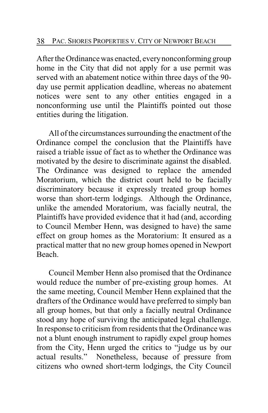After the Ordinance was enacted, everynonconforming group home in the City that did not apply for a use permit was served with an abatement notice within three days of the 90 day use permit application deadline, whereas no abatement notices were sent to any other entities engaged in a nonconforming use until the Plaintiffs pointed out those entities during the litigation.

All of the circumstances surrounding the enactment of the Ordinance compel the conclusion that the Plaintiffs have raised a triable issue of fact as to whether the Ordinance was motivated by the desire to discriminate against the disabled. The Ordinance was designed to replace the amended Moratorium, which the district court held to be facially discriminatory because it expressly treated group homes worse than short-term lodgings. Although the Ordinance, unlike the amended Moratorium, was facially neutral, the Plaintiffs have provided evidence that it had (and, according to Council Member Henn, was designed to have) the same effect on group homes as the Moratorium: It ensured as a practical matter that no new group homes opened in Newport Beach.

Council Member Henn also promised that the Ordinance would reduce the number of pre-existing group homes. At the same meeting, Council Member Henn explained that the drafters of the Ordinance would have preferred to simply ban all group homes, but that only a facially neutral Ordinance stood any hope of surviving the anticipated legal challenge. In response to criticism from residents that the Ordinance was not a blunt enough instrument to rapidly expel group homes from the City, Henn urged the critics to "judge us by our actual results." Nonetheless, because of pressure from citizens who owned short-term lodgings, the City Council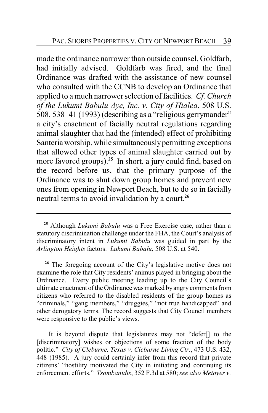made the ordinance narrower than outside counsel, Goldfarb, had initially advised. Goldfarb was fired, and the final Ordinance was drafted with the assistance of new counsel who consulted with the CCNB to develop an Ordinance that applied to a much narrower selection of facilities. *Cf. Church of the Lukumi Babulu Aye, Inc. v. City of Hialea*, 508 U.S. 508, 538–41 (1993) (describing as a "religious gerrymander" a city's enactment of facially neutral regulations regarding animal slaughter that had the (intended) effect of prohibiting Santeria worship, while simultaneouslypermitting exceptions that allowed other types of animal slaughter carried out by more favored groups).**<sup>25</sup>** In short, a jury could find, based on the record before us, that the primary purpose of the Ordinance was to shut down group homes and prevent new ones from opening in Newport Beach, but to do so in facially neutral terms to avoid invalidation by a court.**<sup>26</sup>**

**<sup>25</sup>** Although *Lukumi Babulu* was a Free Exercise case, rather than a statutory discrimination challenge under the FHA, the Court's analysis of discriminatory intent in *Lukumi Babulu* was guided in part by the *Arlington Heights* factors. *Lukumi Babalu*, 508 U.S. at 540.

<sup>&</sup>lt;sup>26</sup> The foregoing account of the City's legislative motive does not examine the role that City residents' animus played in bringing about the Ordinance. Every public meeting leading up to the City Council's ultimate enactment ofthe Ordinance was marked by angry comments from citizens who referred to the disabled residents of the group homes as "criminals," "gang members," "druggies," "not true handicapped" and other derogatory terms. The record suggests that City Council members were responsive to the public's views.

It is beyond dispute that legislatures may not "defer[] to the [discriminatory] wishes or objections of some fraction of the body politic." *City of Cleburne, Texas v. Cleburne Living Ctr.*, 473 U.S. 432, 448 (1985). A jury could certainly infer from this record that private citizens' "hostility motivated the City in initiating and continuing its enforcement efforts." *Tsombanidis*, 352 F.3d at 580; *see also Metoyer v.*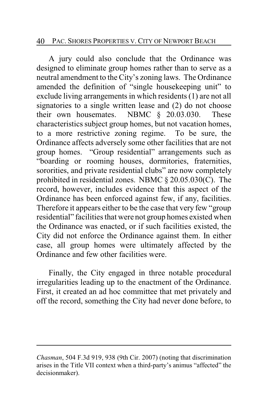### 40 PAC. SHORES PROPERTIES V. CITY OF NEWPORT BEACH

A jury could also conclude that the Ordinance was designed to eliminate group homes rather than to serve as a neutral amendment to the City's zoning laws. The Ordinance amended the definition of "single housekeeping unit" to exclude living arrangements in which residents (1) are not all signatories to a single written lease and (2) do not choose their own housemates. NBMC § 20.03.030. These characteristics subject group homes, but not vacation homes, to a more restrictive zoning regime. To be sure, the Ordinance affects adversely some other facilities that are not group homes. "Group residential" arrangements such as "boarding or rooming houses, dormitories, fraternities, sororities, and private residential clubs" are now completely prohibited in residential zones. NBMC § 20.05.030(C). The record, however, includes evidence that this aspect of the Ordinance has been enforced against few, if any, facilities. Therefore it appears either to be the case that very few "group residential" facilities that were not group homes existed when the Ordinance was enacted, or if such facilities existed, the City did not enforce the Ordinance against them. In either case, all group homes were ultimately affected by the Ordinance and few other facilities were.

Finally, the City engaged in three notable procedural irregularities leading up to the enactment of the Ordinance. First, it created an ad hoc committee that met privately and off the record, something the City had never done before, to

*Chasman*, 504 F.3d 919, 938 (9th Cir. 2007) (noting that discrimination arises in the Title VII context when a third-party's animus "affected" the decisionmaker).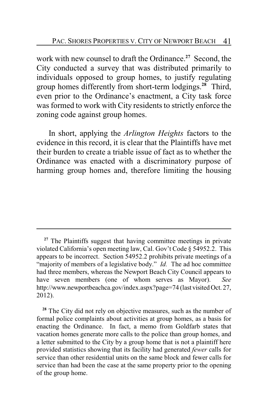work with new counsel to draft the Ordinance.**<sup>27</sup>** Second, the City conducted a survey that was distributed primarily to individuals opposed to group homes, to justify regulating group homes differently from short-term lodgings.**<sup>28</sup>** Third, even prior to the Ordinance's enactment, a City task force was formed to work with City residents to strictly enforce the zoning code against group homes.

In short, applying the *Arlington Heights* factors to the evidence in this record, it is clear that the Plaintiffs have met their burden to create a triable issue of fact as to whether the Ordinance was enacted with a discriminatory purpose of harming group homes and, therefore limiting the housing

<sup>&</sup>lt;sup>27</sup> The Plaintiffs suggest that having committee meetings in private violated California's open meeting law, Cal. Gov't Code § 54952.2. This appears to be incorrect. Section 54952.2 prohibits private meetings of a "majority of members of a legislative body." *Id.* The ad hoc committee had three members, whereas the Newport Beach City Council appears to have seven members (one of whom serves as Mayor). *See* http://www.newportbeachca.gov/index.aspx?page=74 (last visited Oct. 27, 2012).

<sup>&</sup>lt;sup>28</sup> The City did not rely on objective measures, such as the number of formal police complaints about activities at group homes, as a basis for enacting the Ordinance. In fact, a memo from Goldfarb states that vacation homes generate more calls to the police than group homes, and a letter submitted to the City by a group home that is not a plaintiff here provided statistics showing that its facility had generated *fewer* calls for service than other residential units on the same block and fewer calls for service than had been the case at the same property prior to the opening of the group home.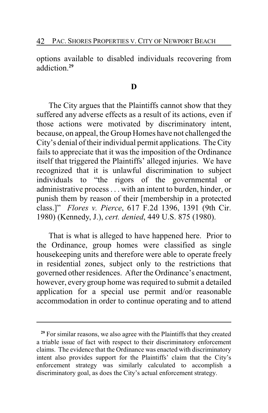options available to disabled individuals recovering from addiction.**<sup>29</sup>**

# **D**

The City argues that the Plaintiffs cannot show that they suffered any adverse effects as a result of its actions, even if those actions were motivated by discriminatory intent, because, on appeal, the Group Homes have not challenged the City's denial of their individual permit applications. The City fails to appreciate that it was the imposition of the Ordinance itself that triggered the Plaintiffs' alleged injuries. We have recognized that it is unlawful discrimination to subject individuals to "the rigors of the governmental or administrative process . . . with an intent to burden, hinder, or punish them by reason of their [membership in a protected class.]" *Flores v. Pierce*, 617 F.2d 1396, 1391 (9th Cir. 1980) (Kennedy, J.), *cert. denied*, 449 U.S. 875 (1980).

That is what is alleged to have happened here. Prior to the Ordinance, group homes were classified as single housekeeping units and therefore were able to operate freely in residential zones, subject only to the restrictions that governed other residences. After the Ordinance's enactment, however, every group home was required to submit a detailed application for a special use permit and/or reasonable accommodation in order to continue operating and to attend

<sup>&</sup>lt;sup>29</sup> For similar reasons, we also agree with the Plaintiffs that they created a triable issue of fact with respect to their discriminatory enforcement claims. The evidence that the Ordinance was enacted with discriminatory intent also provides support for the Plaintiffs' claim that the City's enforcement strategy was similarly calculated to accomplish a discriminatory goal, as does the City's actual enforcement strategy.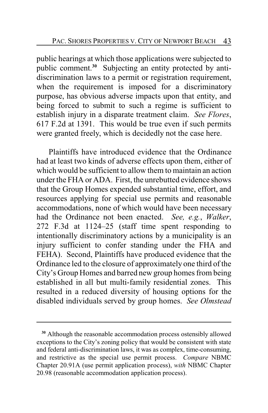public hearings at which those applications were subjected to public comment.<sup>30</sup> Subjecting an entity protected by antidiscrimination laws to a permit or registration requirement, when the requirement is imposed for a discriminatory purpose, has obvious adverse impacts upon that entity, and being forced to submit to such a regime is sufficient to establish injury in a disparate treatment claim. *See Flores*, 617 F.2d at 1391. This would be true even if such permits were granted freely, which is decidedly not the case here.

Plaintiffs have introduced evidence that the Ordinance had at least two kinds of adverse effects upon them, either of which would be sufficient to allow them to maintain an action under the FHA or ADA. First, the unrebutted evidence shows that the Group Homes expended substantial time, effort, and resources applying for special use permits and reasonable accommodations, none of which would have been necessary had the Ordinance not been enacted. *See, e.g.*, *Walker*, 272 F.3d at 1124–25 (staff time spent responding to intentionally discriminatory actions by a municipality is an injury sufficient to confer standing under the FHA and FEHA). Second, Plaintiffs have produced evidence that the Ordinance led to the closure of approximately one third of the City's Group Homes and barred new group homes from being established in all but multi-family residential zones. This resulted in a reduced diversity of housing options for the disabled individuals served by group homes. *See Olmstead*

**<sup>30</sup>** Although the reasonable accommodation process ostensibly allowed exceptions to the City's zoning policy that would be consistent with state and federal anti-discrimination laws, it was as complex, time-consuming, and restrictive as the special use permit process. *Compare* NBMC Chapter 20.91A (use permit application process), *with* NBMC Chapter 20.98 (reasonable accommodation application process).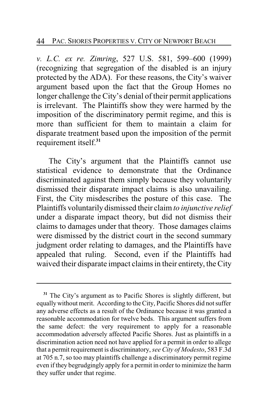*v. L.C. ex re. Zimring*, 527 U.S. 581, 599–600 (1999) (recognizing that segregation of the disabled is an injury protected by the ADA). For these reasons, the City's waiver argument based upon the fact that the Group Homes no longer challenge the City's denial of their permit applications is irrelevant. The Plaintiffs show they were harmed by the imposition of the discriminatory permit regime, and this is more than sufficient for them to maintain a claim for disparate treatment based upon the imposition of the permit requirement itself.**<sup>31</sup>**

The City's argument that the Plaintiffs cannot use statistical evidence to demonstrate that the Ordinance discriminated against them simply because they voluntarily dismissed their disparate impact claims is also unavailing. First, the City misdescribes the posture of this case. The Plaintiffs voluntarily dismissed their claim *to injunctive relief* under a disparate impact theory, but did not dismiss their claims to damages under that theory. Those damages claims were dismissed by the district court in the second summary judgment order relating to damages, and the Plaintiffs have appealed that ruling. Second, even if the Plaintiffs had waived their disparate impact claims in their entirety, the City

**<sup>31</sup>** The City's argument as to Pacific Shores is slightly different, but equally without merit. According to the City, Pacific Shores did not suffer any adverse effects as a result of the Ordinance because it was granted a reasonable accommodation for twelve beds. This argument suffers from the same defect: the very requirement to apply for a reasonable accommodation adversely affected Pacific Shores. Just as plaintiffs in a discrimination action need not have applied for a permit in order to allege that a permit requirement is discriminatory, *see City of Modesto*, 583 F.3d at 705 n.7, so too may plaintiffs challenge a discriminatory permit regime even if they begrudgingly apply for a permit in order to minimize the harm they suffer under that regime.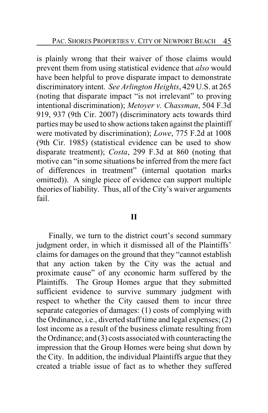is plainly wrong that their waiver of those claims would prevent them from using statistical evidence that *also* would have been helpful to prove disparate impact to demonstrate discriminatory intent. *See Arlington Heights*, 429 U.S. at 265 (noting that disparate impact "is not irrelevant" to proving intentional discrimination); *Metoyer v. Chassman*, 504 F.3d 919, 937 (9th Cir. 2007) (discriminatory acts towards third parties may be used to show actions taken against the plaintiff were motivated by discrimination); *Lowe*, 775 F.2d at 1008 (9th Cir. 1985) (statistical evidence can be used to show disparate treatment); *Costa*, 299 F.3d at 860 (noting that motive can "in some situations be inferred from the mere fact of differences in treatment" (internal quotation marks omitted)). A single piece of evidence can support multiple theories of liability. Thus, all of the City's waiver arguments fail.

# **II**

Finally, we turn to the district court's second summary judgment order, in which it dismissed all of the Plaintiffs' claims for damages on the ground that they "cannot establish that any action taken by the City was the actual and proximate cause" of any economic harm suffered by the Plaintiffs. The Group Homes argue that they submitted sufficient evidence to survive summary judgment with respect to whether the City caused them to incur three separate categories of damages: (1) costs of complying with the Ordinance, i.e., diverted staff time and legal expenses; (2) lost income as a result of the business climate resulting from the Ordinance; and (3) costs associated with counteracting the impression that the Group Homes were being shut down by the City. In addition, the individual Plaintiffs argue that they created a triable issue of fact as to whether they suffered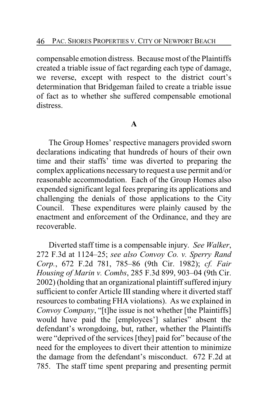compensable emotion distress. Because most of the Plaintiffs created a triable issue of fact regarding each type of damage, we reverse, except with respect to the district court's determination that Bridgeman failed to create a triable issue of fact as to whether she suffered compensable emotional distress.

# **A**

The Group Homes' respective managers provided sworn declarations indicating that hundreds of hours of their own time and their staffs' time was diverted to preparing the complex applications necessaryto request a use permit and/or reasonable accommodation. Each of the Group Homes also expended significant legal fees preparing its applications and challenging the denials of those applications to the City Council. These expenditures were plainly caused by the enactment and enforcement of the Ordinance, and they are recoverable.

Diverted staff time is a compensable injury. *See Walker*, 272 F.3d at 1124–25; *see also Convoy Co. v. Sperry Rand Corp.*, 672 F.2d 781, 785–86 (9th Cir. 1982); *cf. Fair Housing of Marin v. Combs*, 285 F.3d 899, 903–04 (9th Cir. 2002) (holding that an organizational plaintiff suffered injury sufficient to confer Article III standing where it diverted staff resources to combating FHA violations). As we explained in *Convoy Company*, "[t]he issue is not whether [the Plaintiffs] would have paid the [employees'] salaries" absent the defendant's wrongdoing, but, rather, whether the Plaintiffs were "deprived of the services [they] paid for" because of the need for the employees to divert their attention to minimize the damage from the defendant's misconduct. 672 F.2d at 785. The staff time spent preparing and presenting permit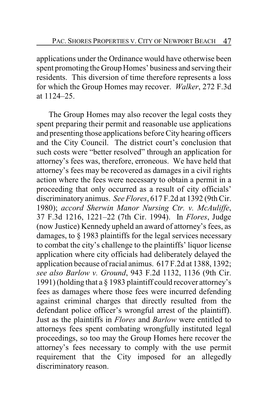applications under the Ordinance would have otherwise been spent promoting the Group Homes' business and serving their residents. This diversion of time therefore represents a loss for which the Group Homes may recover. *Walker*, 272 F.3d at 1124–25.

The Group Homes may also recover the legal costs they spent preparing their permit and reasonable use applications and presenting those applications before City hearing officers and the City Council. The district court's conclusion that such costs were "better resolved" through an application for attorney's fees was, therefore, erroneous. We have held that attorney's fees may be recovered as damages in a civil rights action where the fees were necessary to obtain a permit in a proceeding that only occurred as a result of city officials' discriminatory animus. *See Flores*, 617 F.2d at 1392 (9th Cir. 1980); *accord Sherwin Manor Nursing Ctr. v. McAuliffe*, 37 F.3d 1216, 1221–22 (7th Cir. 1994). In *Flores*, Judge (now Justice) Kennedy upheld an award of attorney's fees, as damages, to § 1983 plaintiffs for the legal services necessary to combat the city's challenge to the plaintiffs' liquor license application where city officials had deliberately delayed the application because of racial animus. 617 F.2d at 1388, 1392; *see also Barlow v. Ground*, 943 F.2d 1132, 1136 (9th Cir. 1991) (holding that a § 1983 plaintiff could recover attorney's fees as damages where those fees were incurred defending against criminal charges that directly resulted from the defendant police officer's wrongful arrest of the plaintiff). Just as the plaintiffs in *Flores* and *Barlow* were entitled to attorneys fees spent combating wrongfully instituted legal proceedings, so too may the Group Homes here recover the attorney's fees necessary to comply with the use permit requirement that the City imposed for an allegedly discriminatory reason.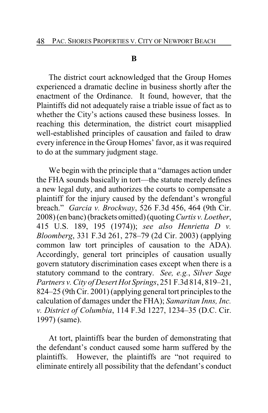#### **B**

The district court acknowledged that the Group Homes experienced a dramatic decline in business shortly after the enactment of the Ordinance. It found, however, that the Plaintiffs did not adequately raise a triable issue of fact as to whether the City's actions caused these business losses. In reaching this determination, the district court misapplied well-established principles of causation and failed to draw every inference in the Group Homes' favor, as it was required to do at the summary judgment stage.

We begin with the principle that a "damages action under the FHA sounds basically in tort—the statute merely defines a new legal duty, and authorizes the courts to compensate a plaintiff for the injury caused by the defendant's wrongful breach." *Garcia v. Brockway*, 526 F.3d 456, 464 (9th Cir. 2008) (en banc) (brackets omitted) (quoting*Curtis v. Loether*, 415 U.S. 189, 195 (1974)); *see also Henrietta D v. Bloomberg*, 331 F.3d 261, 278–79 (2d Cir. 2003) (applying common law tort principles of causation to the ADA). Accordingly, general tort principles of causation usually govern statutory discrimination cases except when there is a statutory command to the contrary. *See, e.g.*, *Silver Sage Partners v. City of Desert Hot Springs*, 251 F.3d 814, 819–21, 824–25 (9th Cir. 2001) (applying general tort principles to the calculation of damages under the FHA); *Samaritan Inns, Inc. v. District of Columbia*, 114 F.3d 1227, 1234–35 (D.C. Cir. 1997) (same).

At tort, plaintiffs bear the burden of demonstrating that the defendant's conduct caused some harm suffered by the plaintiffs. However, the plaintiffs are "not required to eliminate entirely all possibility that the defendant's conduct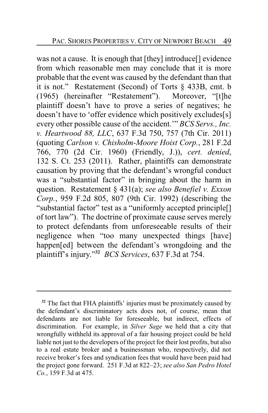was not a cause. It is enough that [they] introduce[] evidence from which reasonable men may conclude that it is more probable that the event was caused by the defendant than that it is not." Restatement (Second) of Torts § 433B, cmt. b (1965) (hereinafter "Restatement"). Moreover, "[t]he plaintiff doesn't have to prove a series of negatives; he doesn't have to 'offer evidence which positively excludes[s] every other possible cause of the accident.'" *BCS Servs., Inc. v. Heartwood 88, LLC*, 637 F.3d 750, 757 (7th Cir. 2011) (quoting *Carlson v. Chisholm-Moore Hoist Corp.*, 281 F.2d 766, 770 (2d Cir. 1960) (Friendly, J.)), *cert. denied*, 132 S. Ct. 253 (2011). Rather, plaintiffs can demonstrate causation by proving that the defendant's wrongful conduct was a "substantial factor" in bringing about the harm in question. Restatement § 431(a); *see also Benefiel v. Exxon Corp.*, 959 F.2d 805, 807 (9th Cir. 1992) (describing the "substantial factor" test as a "uniformly accepted principle[] of tort law"). The doctrine of proximate cause serves merely to protect defendants from unforeseeable results of their negligence when "too many unexpected things [have] happen[ed] between the defendant's wrongdoing and the plaintiff's injury."**<sup>32</sup>** *BCS Services*, 637 F.3d at 754.

<sup>&</sup>lt;sup>32</sup> The fact that FHA plaintiffs' injuries must be proximately caused by the defendant's discriminatory acts does not, of course, mean that defendants are not liable for foreseeable, but indirect, effects of discrimination. For example, in *Silver Sage* we held that a city that wrongfully withheld its approval of a fair housing project could be held liable not just to the developers of the project for their lost profits, but also to a real estate broker and a businessman who, respectively, did not receive broker's fees and syndication fees that would have been paid had the project gone forward. 251 F.3d at 822–23; *see also San Pedro Hotel Co.*, 159 F.3d at 475.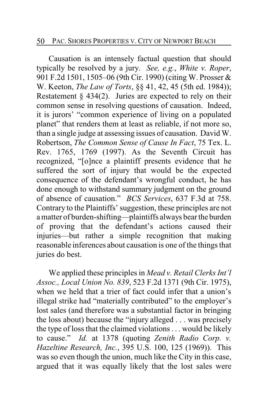Causation is an intensely factual question that should typically be resolved by a jury. *See, e.g.*, *White v. Roper*, 901 F.2d 1501, 1505–06 (9th Cir. 1990) (citing W. Prosser & W. Keeton, *The Law of Torts*, §§ 41, 42, 45 (5th ed. 1984)); Restatement  $§$  434(2). Juries are expected to rely on their common sense in resolving questions of causation. Indeed, it is jurors' "common experience of living on a populated planet" that renders them at least as reliable, if not more so, than a single judge at assessing issues of causation. David W. Robertson, *The Common Sense of Cause In Fact*, 75 Tex. L. Rev. 1765, 1769 (1997). As the Seventh Circuit has recognized, "[o]nce a plaintiff presents evidence that he suffered the sort of injury that would be the expected consequence of the defendant's wrongful conduct, he has done enough to withstand summary judgment on the ground of absence of causation." *BCS Services*, 637 F.3d at 758. Contrary to the Plaintiffs' suggestion, these principles are not a matter of burden-shifting—plaintiffs always bear the burden of proving that the defendant's actions caused their injuries—but rather a simple recognition that making reasonable inferences about causation is one of the things that juries do best.

We applied these principles in *Mead v. Retail Clerks Int'l Assoc., Local Union No. 839*, 523 F.2d 1371 (9th Cir. 1975), when we held that a trier of fact could infer that a union's illegal strike had "materially contributed" to the employer's lost sales (and therefore was a substantial factor in bringing the loss about) because the "injury alleged . . . was precisely the type of loss that the claimed violations . . . would be likely to cause." *Id.* at 1378 (quoting *Zenith Radio Corp. v. Hazeltine Research, Inc.*, 395 U.S. 100, 125 (1969)). This was so even though the union, much like the City in this case, argued that it was equally likely that the lost sales were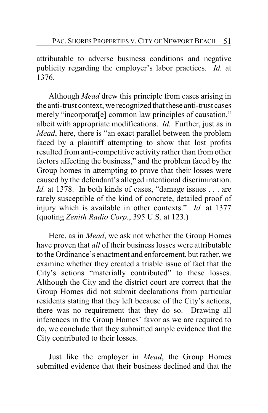attributable to adverse business conditions and negative publicity regarding the employer's labor practices. *Id.* at 1376.

Although *Mead* drew this principle from cases arising in the anti-trust context, we recognized that these anti-trust cases merely "incorporat[e] common law principles of causation," albeit with appropriate modifications. *Id.* Further, just as in *Mead*, here, there is "an exact parallel between the problem faced by a plaintiff attempting to show that lost profits resulted from anti-competitive activity rather than from other factors affecting the business," and the problem faced by the Group homes in attempting to prove that their losses were caused by the defendant's alleged intentional discrimination. *Id.* at 1378. In both kinds of cases, "damage issues . . . are rarely susceptible of the kind of concrete, detailed proof of injury which is available in other contexts." *Id.* at 1377 (quoting *Zenith Radio Corp.*, 395 U.S. at 123.)

Here, as in *Mead*, we ask not whether the Group Homes have proven that *all* of their business losses were attributable to the Ordinance's enactment and enforcement, but rather, we examine whether they created a triable issue of fact that the City's actions "materially contributed" to these losses. Although the City and the district court are correct that the Group Homes did not submit declarations from particular residents stating that they left because of the City's actions, there was no requirement that they do so. Drawing all inferences in the Group Homes' favor as we are required to do, we conclude that they submitted ample evidence that the City contributed to their losses.

Just like the employer in *Mead*, the Group Homes submitted evidence that their business declined and that the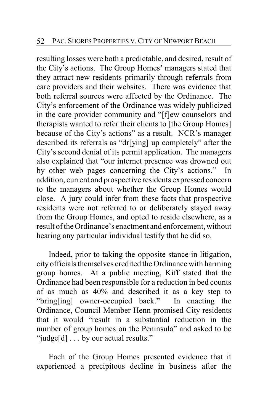resulting losses were both a predictable, and desired, result of the City's actions. The Group Homes' managers stated that they attract new residents primarily through referrals from care providers and their websites. There was evidence that both referral sources were affected by the Ordinance. The City's enforcement of the Ordinance was widely publicized in the care provider community and "[f]ew counselors and therapists wanted to refer their clients to [the Group Homes] because of the City's actions" as a result. NCR's manager described its referrals as "dr[ying] up completely" after the City's second denial of its permit application. The managers also explained that "our internet presence was drowned out by other web pages concerning the City's actions." In addition, current and prospective residents expressed concern to the managers about whether the Group Homes would close. A jury could infer from these facts that prospective residents were not referred to or deliberately stayed away from the Group Homes, and opted to reside elsewhere, as a result of the Ordinance's enactment and enforcement, without hearing any particular individual testify that he did so.

Indeed, prior to taking the opposite stance in litigation, city officials themselves credited the Ordinance with harming group homes. At a public meeting, Kiff stated that the Ordinance had been responsible for a reduction in bed counts of as much as 40% and described it as a key step to "bring [ing] owner-occupied back." In enacting the "bring[ing] owner-occupied back." Ordinance, Council Member Henn promised City residents that it would "result in a substantial reduction in the number of group homes on the Peninsula" and asked to be "judge[d] . . . by our actual results."

Each of the Group Homes presented evidence that it experienced a precipitous decline in business after the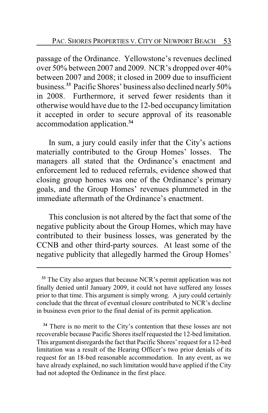passage of the Ordinance. Yellowstone's revenues declined over 50% between 2007 and 2009. NCR's dropped over 40% between 2007 and 2008; it closed in 2009 due to insufficient business.**<sup>33</sup>** Pacific Shores' business also declined nearly50% in 2008. Furthermore, it served fewer residents than it otherwise would have due to the 12-bed occupancylimitation it accepted in order to secure approval of its reasonable accommodation application.**<sup>34</sup>**

In sum, a jury could easily infer that the City's actions materially contributed to the Group Homes' losses. The managers all stated that the Ordinance's enactment and enforcement led to reduced referrals, evidence showed that closing group homes was one of the Ordinance's primary goals, and the Group Homes' revenues plummeted in the immediate aftermath of the Ordinance's enactment.

This conclusion is not altered by the fact that some of the negative publicity about the Group Homes, which may have contributed to their business losses, was generated by the CCNB and other third-party sources. At least some of the negative publicity that allegedly harmed the Group Homes'

**<sup>34</sup>** There is no merit to the City's contention that these losses are not recoverable because Pacific Shores itself requested the 12-bed limitation. This argument disregards the fact that Pacific Shores'request for a 12-bed limitation was a result of the Hearing Officer's two prior denials of its request for an 18-bed reasonable accommodation. In any event, as we have already explained, no such limitation would have applied if the City had not adopted the Ordinance in the first place.

**<sup>33</sup>** The City also argues that because NCR's permit application was not finally denied until January 2009, it could not have suffered any losses prior to that time. This argument is simply wrong. A jury could certainly conclude that the threat of eventual closure contributed to NCR's decline in business even prior to the final denial of its permit application.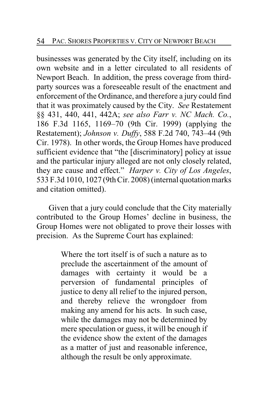businesses was generated by the City itself, including on its own website and in a letter circulated to all residents of Newport Beach. In addition, the press coverage from thirdparty sources was a foreseeable result of the enactment and enforcement of the Ordinance, and therefore a jury could find that it was proximately caused by the City. *See* Restatement §§ 431, 440, 441, 442A; *see also Farr v. NC Mach. Co.*, 186 F.3d 1165, 1169–70 (9th Cir. 1999) (applying the Restatement); *Johnson v. Duffy*, 588 F.2d 740, 743–44 (9th Cir. 1978). In other words, the Group Homes have produced sufficient evidence that "the [discriminatory] policy at issue and the particular injury alleged are not only closely related, they are cause and effect." *Harper v. City of Los Angeles*, 533 F.3d 1010, 1027 (9th Cir. 2008) (internal quotation marks and citation omitted).

Given that a jury could conclude that the City materially contributed to the Group Homes' decline in business, the Group Homes were not obligated to prove their losses with precision. As the Supreme Court has explained:

> Where the tort itself is of such a nature as to preclude the ascertainment of the amount of damages with certainty it would be a perversion of fundamental principles of justice to deny all relief to the injured person, and thereby relieve the wrongdoer from making any amend for his acts. In such case, while the damages may not be determined by mere speculation or guess, it will be enough if the evidence show the extent of the damages as a matter of just and reasonable inference, although the result be only approximate.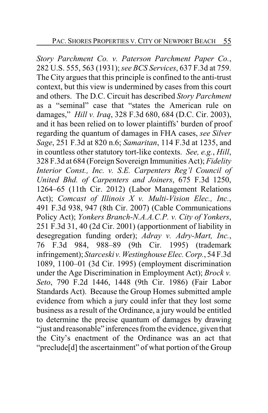*Story Parchment Co. v. Paterson Parchment Paper Co.*, 282 U.S. 555, 563 (1931); *see BCS Services*, 637 F.3d at 759. The City argues that this principle is confined to the anti-trust context, but this view is undermined by cases from this court and others. The D.C. Circuit has described *Story Parchment* as a "seminal" case that "states the American rule on damages," *Hill v. Iraq*, 328 F.3d 680, 684 (D.C. Cir. 2003), and it has been relied on to lower plaintiffs' burden of proof regarding the quantum of damages in FHA cases, *see Silver Sage*, 251 F.3d at 820 n.6; *Samaritan*, 114 F.3d at 1235, and in countless other statutory tort-like contexts. *See, e.g.*, *Hill*, 328 F.3d at 684 (Foreign Sovereign Immunities Act); *Fidelity Interior Const., Inc. v. S.E. Carpenters Reg'l Council of United Bhd. of Carpenters and Joiners*, 675 F.3d 1250, 1264–65 (11th Cir. 2012) (Labor Management Relations Act); *Comcast of Illinois X v. Multi-Vision Elec., Inc.*, 491 F.3d 938, 947 (8th Cir. 2007) (Cable Communications Policy Act); *Yonkers Branch-N.A.A.C.P. v. City of Yonkers*, 251 F.3d 31, 40 (2d Cir. 2001) (apportionment of liability in desegregation funding order); *Adray v. Adry-Mart, Inc.*, 76 F.3d 984, 988–89 (9th Cir. 1995) (trademark infringement); *Starceski v.Westinghouse Elec. Corp.*, 54 F.3d 1089, 1100–01 (3d Cir. 1995) (employment discrimination under the Age Discrimination in Employment Act); *Brock v. Seto*, 790 F.2d 1446, 1448 (9th Cir. 1986) (Fair Labor Standards Act). Because the Group Homes submitted ample evidence from which a jury could infer that they lost some business as a result of the Ordinance, a jury would be entitled to determine the precise quantum of damages by drawing "just and reasonable" inferences from the evidence, given that the City's enactment of the Ordinance was an act that "preclude[d] the ascertainment" of what portion of the Group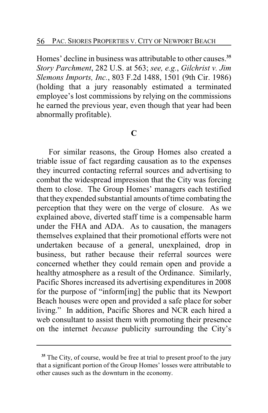Homes' decline in business was attributable to other causes.**<sup>35</sup>** *Story Parchment*, 282 U.S. at 563; *see, e.g.*, *Gilchrist v. Jim Slemons Imports, Inc.*, 803 F.2d 1488, 1501 (9th Cir. 1986) (holding that a jury reasonably estimated a terminated employee's lost commissions by relying on the commissions he earned the previous year, even though that year had been abnormally profitable).

## **C**

For similar reasons, the Group Homes also created a triable issue of fact regarding causation as to the expenses they incurred contacting referral sources and advertising to combat the widespread impression that the City was forcing them to close. The Group Homes' managers each testified that they expended substantial amounts of time combating the perception that they were on the verge of closure. As we explained above, diverted staff time is a compensable harm under the FHA and ADA. As to causation, the managers themselves explained that their promotional efforts were not undertaken because of a general, unexplained, drop in business, but rather because their referral sources were concerned whether they could remain open and provide a healthy atmosphere as a result of the Ordinance. Similarly, Pacific Shores increased its advertising expenditures in 2008 for the purpose of "inform[ing] the public that its Newport Beach houses were open and provided a safe place for sober living." In addition, Pacific Shores and NCR each hired a web consultant to assist them with promoting their presence on the internet *because* publicity surrounding the City's

**<sup>35</sup>** The City, of course, would be free at trial to present proof to the jury that a significant portion of the Group Homes' losses were attributable to other causes such as the downturn in the economy.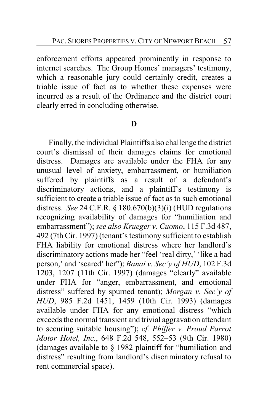enforcement efforts appeared prominently in response to internet searches. The Group Homes' managers' testimony, which a reasonable jury could certainly credit, creates a triable issue of fact as to whether these expenses were incurred as a result of the Ordinance and the district court clearly erred in concluding otherwise.

# **D**

Finally, the individual Plaintiffs also challenge the district court's dismissal of their damages claims for emotional distress. Damages are available under the FHA for any unusual level of anxiety, embarrassment, or humiliation suffered by plaintiffs as a result of a defendant's discriminatory actions, and a plaintiff's testimony is sufficient to create a triable issue of fact as to such emotional distress. *See* 24 C.F.R. § 180.670(b)(3)(i) (HUD regulations recognizing availability of damages for "humiliation and embarrassment"); *see also Krueger v. Cuomo*, 115 F.3d 487, 492 (7th Cir. 1997) (tenant's testimony sufficient to establish FHA liability for emotional distress where her landlord's discriminatory actions made her "feel 'real dirty,' 'like a bad person,' and 'scared' her"); *Banai v. Sec'y of HUD*, 102 F.3d 1203, 1207 (11th Cir. 1997) (damages "clearly" available under FHA for "anger, embarrassment, and emotional distress" suffered by spurned tenant); *Morgan v. Sec'y of HUD*, 985 F.2d 1451, 1459 (10th Cir. 1993) (damages available under FHA for any emotional distress "which exceeds the normal transient and trivial aggravation attendant to securing suitable housing"); *cf. Phiffer v. Proud Parrot Motor Hotel, Inc.*, 648 F.2d 548, 552–53 (9th Cir. 1980) (damages available to § 1982 plaintiff for "humiliation and distress" resulting from landlord's discriminatory refusal to rent commercial space).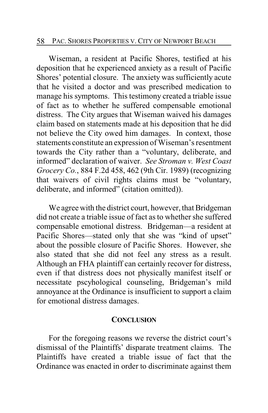#### 58 PAC. SHORES PROPERTIES V. CITY OF NEWPORT BEACH

Wiseman, a resident at Pacific Shores, testified at his deposition that he experienced anxiety as a result of Pacific Shores' potential closure. The anxiety was sufficiently acute that he visited a doctor and was prescribed medication to manage his symptoms. This testimony created a triable issue of fact as to whether he suffered compensable emotional distress. The City argues that Wiseman waived his damages claim based on statements made at his deposition that he did not believe the City owed him damages. In context, those statements constitute an expression of Wiseman's resentment towards the City rather than a "voluntary, deliberate, and informed" declaration of waiver. *See Stroman v. West Coast Grocery Co.*, 884 F.2d 458, 462 (9th Cir. 1989) (recognizing that waivers of civil rights claims must be "voluntary, deliberate, and informed" (citation omitted)).

We agree with the district court, however, that Bridgeman did not create a triable issue of fact as to whether she suffered compensable emotional distress. Bridgeman—a resident at Pacific Shores—stated only that she was "kind of upset" about the possible closure of Pacific Shores. However, she also stated that she did not feel any stress as a result. Although an FHA plaintiff can certainly recover for distress, even if that distress does not physically manifest itself or necessitate pscyhological counseling, Bridgeman's mild annoyance at the Ordinance is insufficient to support a claim for emotional distress damages.

#### **CONCLUSION**

For the foregoing reasons we reverse the district court's dismissal of the Plaintiffs' disparate treatment claims. The Plaintiffs have created a triable issue of fact that the Ordinance was enacted in order to discriminate against them